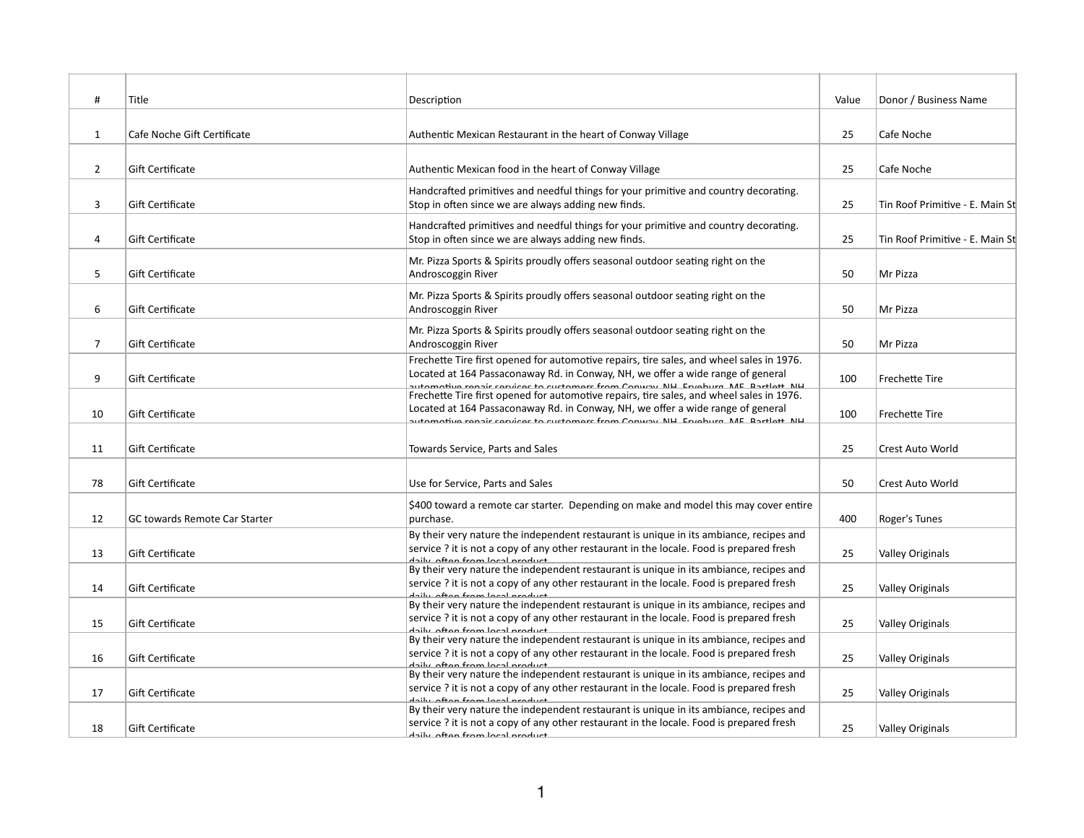| #              | Title                                | Description                                                                                                                                                                                                                                                        | Value | Donor / Business Name           |
|----------------|--------------------------------------|--------------------------------------------------------------------------------------------------------------------------------------------------------------------------------------------------------------------------------------------------------------------|-------|---------------------------------|
| $\mathbf{1}$   | Cafe Noche Gift Certificate          | Authentic Mexican Restaurant in the heart of Conway Village                                                                                                                                                                                                        | 25    | Cafe Noche                      |
| $\overline{2}$ | Gift Certificate                     | Authentic Mexican food in the heart of Conway Village                                                                                                                                                                                                              | 25    | Cafe Noche                      |
| 3              | Gift Certificate                     | Handcrafted primitives and needful things for your primitive and country decorating.<br>Stop in often since we are always adding new finds.                                                                                                                        | 25    | Tin Roof Primitive - E. Main St |
| 4              | Gift Certificate                     | Handcrafted primitives and needful things for your primitive and country decorating.<br>Stop in often since we are always adding new finds.                                                                                                                        | 25    | Tin Roof Primitive - E. Main St |
| 5              | Gift Certificate                     | Mr. Pizza Sports & Spirits proudly offers seasonal outdoor seating right on the<br>Androscoggin River                                                                                                                                                              | 50    | Mr Pizza                        |
| 6              | Gift Certificate                     | Mr. Pizza Sports & Spirits proudly offers seasonal outdoor seating right on the<br>Androscoggin River                                                                                                                                                              | 50    | Mr Pizza                        |
| $\overline{7}$ | Gift Certificate                     | Mr. Pizza Sports & Spirits proudly offers seasonal outdoor seating right on the<br>Androscoggin River                                                                                                                                                              | 50    | Mr Pizza                        |
| 9              | Gift Certificate                     | Frechette Tire first opened for automotive repairs, tire sales, and wheel sales in 1976.<br>Located at 164 Passaconaway Rd. in Conway, NH, we offer a wide range of general<br>automotivo ronair convices to sustamors from Conway NH. Envolved ME. Partlott, NH   | 100   | Frechette Tire                  |
| 10             | Gift Certificate                     | Frechette Tire first opened for automotive repairs, tire sales, and wheel sales in 1976.<br>Located at 164 Passaconaway Rd. in Conway, NH, we offer a wide range of general<br>automotive renair convices to sustamers from Conway, NH, Erveburg, ME, Partlett, NH | 100   | Frechette Tire                  |
| 11             | Gift Certificate                     | Towards Service, Parts and Sales                                                                                                                                                                                                                                   | 25    | Crest Auto World                |
| 78             | Gift Certificate                     | Use for Service, Parts and Sales                                                                                                                                                                                                                                   | 50    | <b>Crest Auto World</b>         |
| 12             | <b>GC towards Remote Car Starter</b> | \$400 toward a remote car starter. Depending on make and model this may cover entire<br>purchase.                                                                                                                                                                  | 400   | Roger's Tunes                   |
| 13             | Gift Certificate                     | By their very nature the independent restaurant is unique in its ambiance, recipes and<br>service? it is not a copy of any other restaurant in the locale. Food is prepared fresh<br>daily aftan from local product                                                | 25    | <b>Valley Originals</b>         |
| 14             | Gift Certificate                     | By their very nature the independent restaurant is unique in its ambiance, recipes and<br>service? it is not a copy of any other restaurant in the locale. Food is prepared fresh<br>daily aftan fram lacal product                                                | 25    | <b>Valley Originals</b>         |
| 15             | Gift Certificate                     | By their very nature the independent restaurant is unique in its ambiance, recipes and<br>service? it is not a copy of any other restaurant in the locale. Food is prepared fresh<br>daily aftan fram lacal nraduct                                                | 25    | <b>Valley Originals</b>         |
| 16             | Gift Certificate                     | By their very nature the independent restaurant is unique in its ambiance, recipes and<br>service? it is not a copy of any other restaurant in the locale. Food is prepared fresh<br>daily aftan fram lacal product                                                | 25    | <b>Valley Originals</b>         |
| 17             | Gift Certificate                     | By their very nature the independent restaurant is unique in its ambiance, recipes and<br>service ? it is not a copy of any other restaurant in the locale. Food is prepared fresh<br>daily aftan fram lacal product                                               | 25    | <b>Valley Originals</b>         |
| 18             | Gift Certificate                     | By their very nature the independent restaurant is unique in its ambiance, recipes and<br>service? it is not a copy of any other restaurant in the locale. Food is prepared fresh<br><u>dailu aftan fram lacal praduct</u>                                         | 25    | <b>Valley Originals</b>         |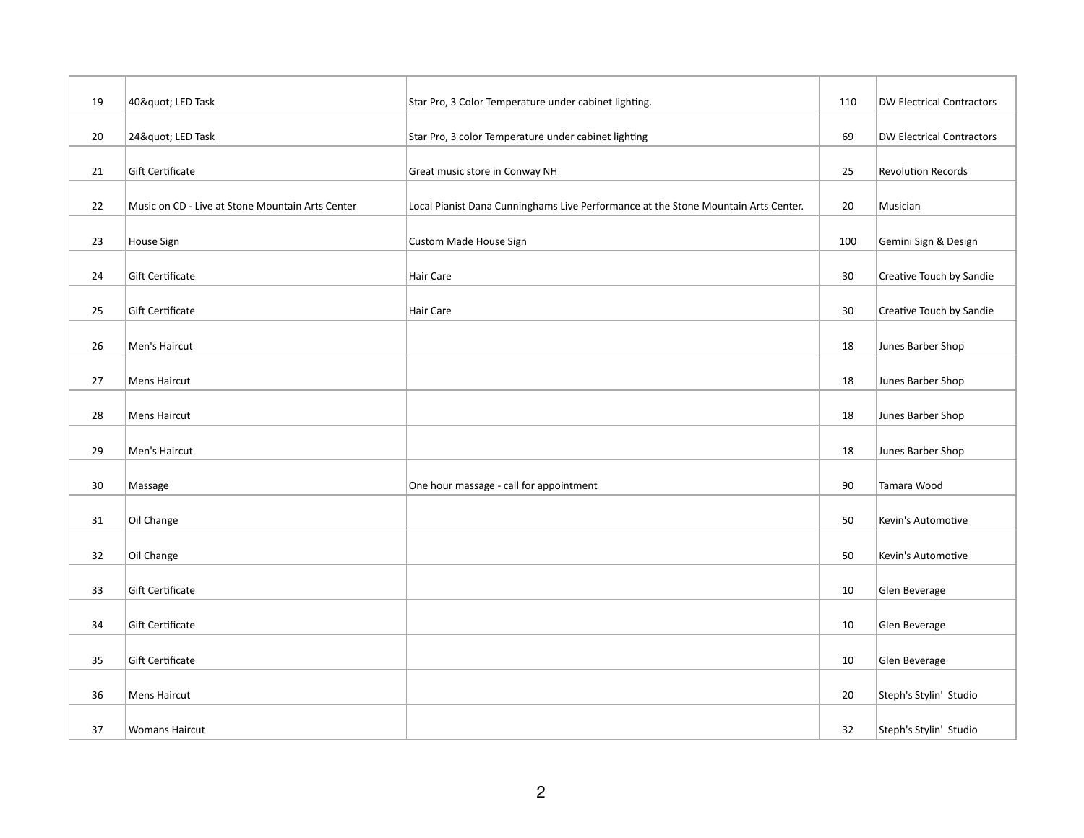| 19 | 40" LED Task                                     | Star Pro, 3 Color Temperature under cabinet lighting.                              | 110 | <b>DW Electrical Contractors</b> |
|----|--------------------------------------------------|------------------------------------------------------------------------------------|-----|----------------------------------|
|    |                                                  |                                                                                    |     |                                  |
| 20 | 24" LED Task                                     | Star Pro, 3 color Temperature under cabinet lighting                               | 69  | <b>DW Electrical Contractors</b> |
| 21 | Gift Certificate                                 | Great music store in Conway NH                                                     | 25  | <b>Revolution Records</b>        |
| 22 | Music on CD - Live at Stone Mountain Arts Center | Local Pianist Dana Cunninghams Live Performance at the Stone Mountain Arts Center. | 20  | Musician                         |
| 23 | House Sign                                       | Custom Made House Sign                                                             | 100 | Gemini Sign & Design             |
| 24 | Gift Certificate                                 | <b>Hair Care</b>                                                                   | 30  | Creative Touch by Sandie         |
| 25 | Gift Certificate                                 | Hair Care                                                                          | 30  | Creative Touch by Sandie         |
| 26 | Men's Haircut                                    |                                                                                    | 18  | Junes Barber Shop                |
| 27 | <b>Mens Haircut</b>                              |                                                                                    | 18  | Junes Barber Shop                |
| 28 | <b>Mens Haircut</b>                              |                                                                                    | 18  | Junes Barber Shop                |
| 29 | Men's Haircut                                    |                                                                                    | 18  | Junes Barber Shop                |
| 30 | Massage                                          | One hour massage - call for appointment                                            | 90  | Tamara Wood                      |
| 31 | Oil Change                                       |                                                                                    | 50  | Kevin's Automotive               |
| 32 | Oil Change                                       |                                                                                    | 50  | Kevin's Automotive               |
| 33 | Gift Certificate                                 |                                                                                    | 10  | Glen Beverage                    |
| 34 | Gift Certificate                                 |                                                                                    | 10  | Glen Beverage                    |
| 35 | <b>Gift Certificate</b>                          |                                                                                    | 10  | Glen Beverage                    |
| 36 | <b>Mens Haircut</b>                              |                                                                                    | 20  | Steph's Stylin' Studio           |
| 37 | <b>Womans Haircut</b>                            |                                                                                    | 32  | Steph's Stylin' Studio           |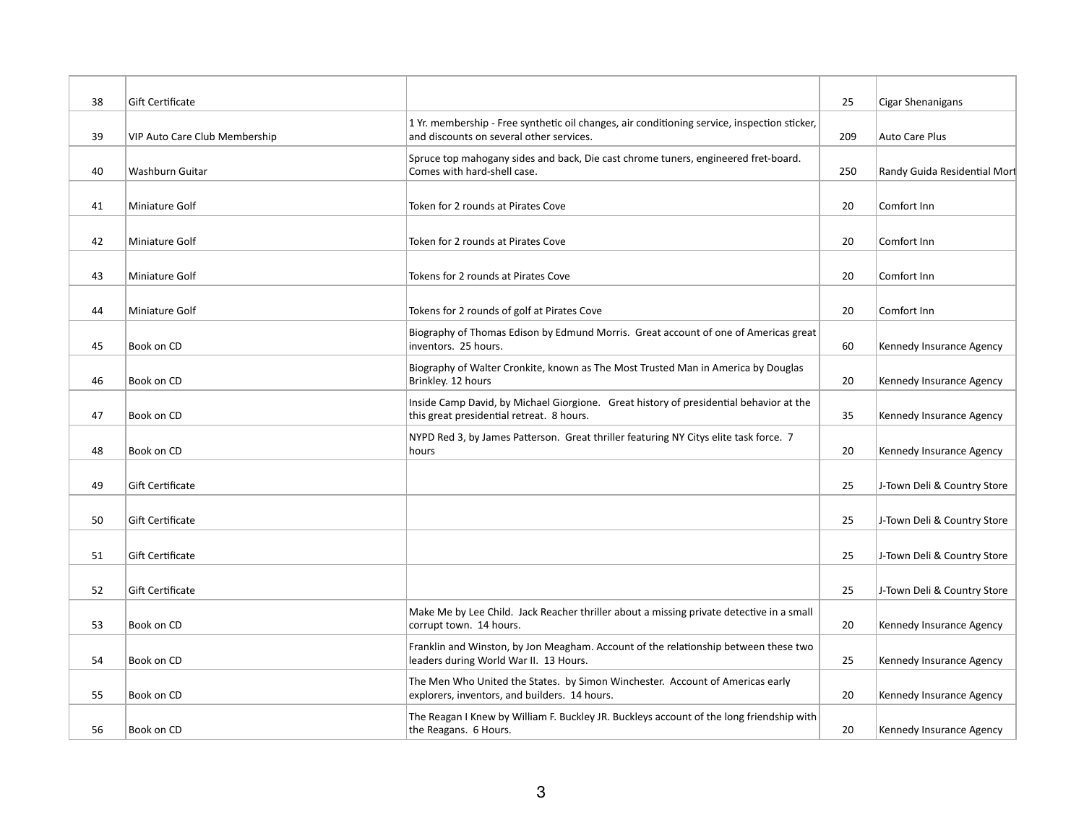| 38 | Gift Certificate              |                                                                                                                                          | 25  | Cigar Shenanigans            |
|----|-------------------------------|------------------------------------------------------------------------------------------------------------------------------------------|-----|------------------------------|
| 39 | VIP Auto Care Club Membership | 1 Yr. membership - Free synthetic oil changes, air conditioning service, inspection sticker,<br>and discounts on several other services. | 209 | Auto Care Plus               |
| 40 | Washburn Guitar               | Spruce top mahogany sides and back, Die cast chrome tuners, engineered fret-board.<br>Comes with hard-shell case.                        | 250 | Randy Guida Residential Mort |
| 41 | Miniature Golf                | Token for 2 rounds at Pirates Cove                                                                                                       | 20  | Comfort Inn                  |
| 42 | Miniature Golf                | Token for 2 rounds at Pirates Cove                                                                                                       | 20  | Comfort Inn                  |
| 43 | Miniature Golf                | Tokens for 2 rounds at Pirates Cove                                                                                                      | 20  | Comfort Inn                  |
| 44 | Miniature Golf                | Tokens for 2 rounds of golf at Pirates Cove                                                                                              | 20  | Comfort Inn                  |
| 45 | Book on CD                    | Biography of Thomas Edison by Edmund Morris. Great account of one of Americas great<br>inventors. 25 hours.                              | 60  | Kennedy Insurance Agency     |
| 46 | Book on CD                    | Biography of Walter Cronkite, known as The Most Trusted Man in America by Douglas<br>Brinkley. 12 hours                                  | 20  | Kennedy Insurance Agency     |
| 47 | Book on CD                    | Inside Camp David, by Michael Giorgione. Great history of presidential behavior at the<br>this great presidential retreat. 8 hours.      | 35  | Kennedy Insurance Agency     |
| 48 | Book on CD                    | NYPD Red 3, by James Patterson. Great thriller featuring NY Citys elite task force. 7<br>hours                                           | 20  | Kennedy Insurance Agency     |
| 49 | Gift Certificate              |                                                                                                                                          | 25  | J-Town Deli & Country Store  |
| 50 | Gift Certificate              |                                                                                                                                          | 25  | J-Town Deli & Country Store  |
| 51 | Gift Certificate              |                                                                                                                                          | 25  | J-Town Deli & Country Store  |
| 52 | Gift Certificate              |                                                                                                                                          | 25  | J-Town Deli & Country Store  |
| 53 | Book on CD                    | Make Me by Lee Child. Jack Reacher thriller about a missing private detective in a small<br>corrupt town. 14 hours.                      | 20  | Kennedy Insurance Agency     |
| 54 | Book on CD                    | Franklin and Winston, by Jon Meagham. Account of the relationship between these two<br>leaders during World War II. 13 Hours.            | 25  | Kennedy Insurance Agency     |
| 55 | Book on CD                    | The Men Who United the States. by Simon Winchester. Account of Americas early<br>explorers, inventors, and builders. 14 hours.           | 20  | Kennedy Insurance Agency     |
| 56 | Book on CD                    | The Reagan I Knew by William F. Buckley JR. Buckleys account of the long friendship with<br>the Reagans. 6 Hours.                        | 20  | Kennedy Insurance Agency     |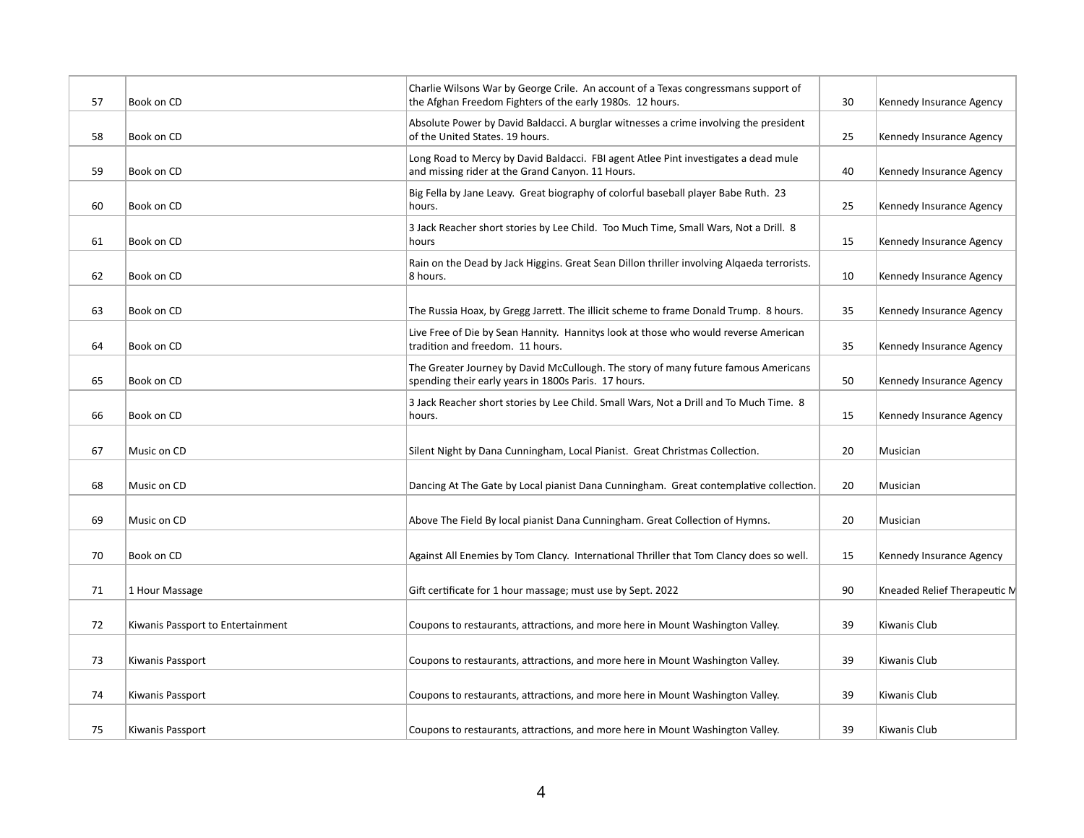| 57 | Book on CD                        | Charlie Wilsons War by George Crile. An account of a Texas congressmans support of<br>the Afghan Freedom Fighters of the early 1980s. 12 hours. | 30 | Kennedy Insurance Agency     |
|----|-----------------------------------|-------------------------------------------------------------------------------------------------------------------------------------------------|----|------------------------------|
| 58 | Book on CD                        | Absolute Power by David Baldacci. A burglar witnesses a crime involving the president<br>of the United States. 19 hours.                        | 25 | Kennedy Insurance Agency     |
| 59 | Book on CD                        | Long Road to Mercy by David Baldacci. FBI agent Atlee Pint investigates a dead mule<br>and missing rider at the Grand Canyon. 11 Hours.         | 40 | Kennedy Insurance Agency     |
| 60 | Book on CD                        | Big Fella by Jane Leavy. Great biography of colorful baseball player Babe Ruth. 23<br>hours.                                                    | 25 | Kennedy Insurance Agency     |
| 61 | Book on CD                        | 3 Jack Reacher short stories by Lee Child. Too Much Time, Small Wars, Not a Drill. 8<br>hours                                                   | 15 | Kennedy Insurance Agency     |
| 62 | Book on CD                        | Rain on the Dead by Jack Higgins. Great Sean Dillon thriller involving Algaeda terrorists.<br>8 hours.                                          | 10 | Kennedy Insurance Agency     |
| 63 | Book on CD                        | The Russia Hoax, by Gregg Jarrett. The illicit scheme to frame Donald Trump. 8 hours.                                                           | 35 | Kennedy Insurance Agency     |
| 64 | Book on CD                        | Live Free of Die by Sean Hannity. Hannitys look at those who would reverse American<br>tradition and freedom. 11 hours.                         | 35 | Kennedy Insurance Agency     |
| 65 | Book on CD                        | The Greater Journey by David McCullough. The story of many future famous Americans<br>spending their early years in 1800s Paris. 17 hours.      | 50 | Kennedy Insurance Agency     |
| 66 | Book on CD                        | 3 Jack Reacher short stories by Lee Child. Small Wars, Not a Drill and To Much Time. 8<br>hours.                                                | 15 | Kennedy Insurance Agency     |
| 67 | Music on CD                       | Silent Night by Dana Cunningham, Local Pianist. Great Christmas Collection.                                                                     | 20 | Musician                     |
| 68 | Music on CD                       | Dancing At The Gate by Local pianist Dana Cunningham. Great contemplative collection.                                                           | 20 | Musician                     |
| 69 | Music on CD                       | Above The Field By local pianist Dana Cunningham. Great Collection of Hymns.                                                                    | 20 | Musician                     |
| 70 | Book on CD                        | Against All Enemies by Tom Clancy. International Thriller that Tom Clancy does so well.                                                         | 15 | Kennedy Insurance Agency     |
| 71 | 1 Hour Massage                    | Gift certificate for 1 hour massage; must use by Sept. 2022                                                                                     | 90 | Kneaded Relief Therapeutic M |
| 72 | Kiwanis Passport to Entertainment | Coupons to restaurants, attractions, and more here in Mount Washington Valley.                                                                  | 39 | Kiwanis Club                 |
| 73 | Kiwanis Passport                  | Coupons to restaurants, attractions, and more here in Mount Washington Valley.                                                                  | 39 | Kiwanis Club                 |
| 74 | Kiwanis Passport                  | Coupons to restaurants, attractions, and more here in Mount Washington Valley.                                                                  | 39 | Kiwanis Club                 |
| 75 | Kiwanis Passport                  | Coupons to restaurants, attractions, and more here in Mount Washington Valley.                                                                  | 39 | Kiwanis Club                 |
|    |                                   |                                                                                                                                                 |    |                              |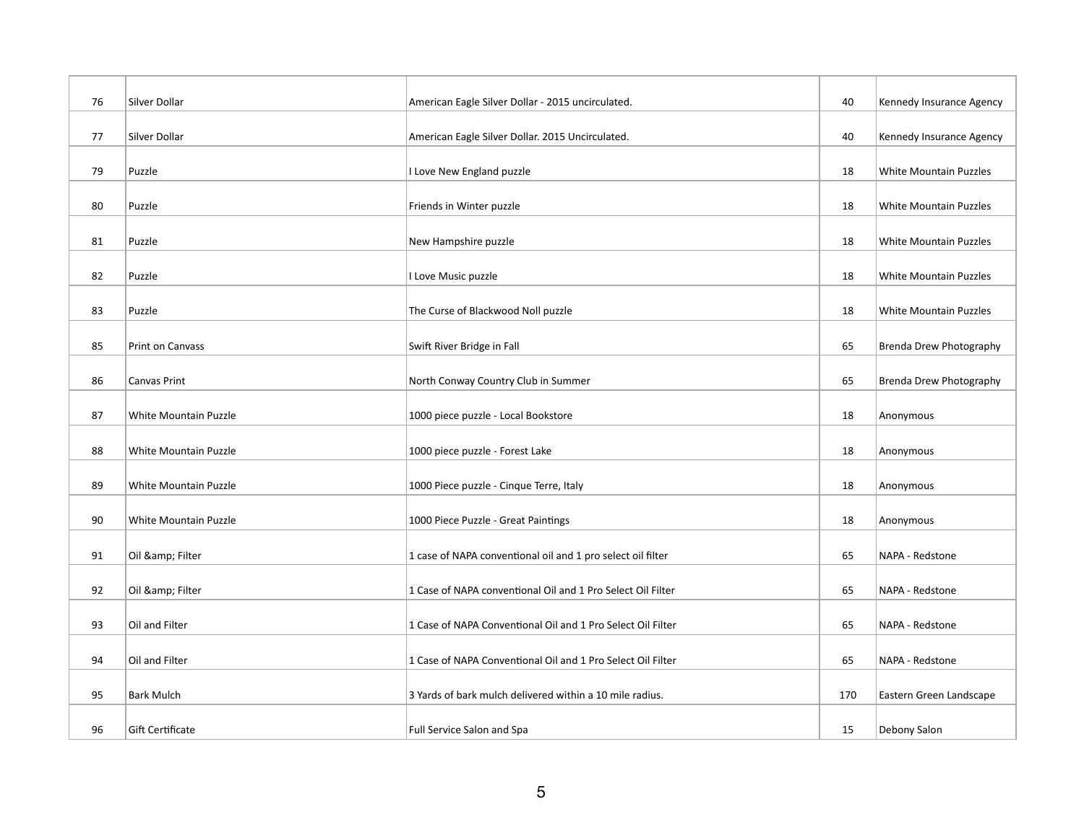| 76 | Silver Dollar         | American Eagle Silver Dollar - 2015 uncirculated.           | 40  | Kennedy Insurance Agency      |
|----|-----------------------|-------------------------------------------------------------|-----|-------------------------------|
| 77 | Silver Dollar         | American Eagle Silver Dollar. 2015 Uncirculated.            | 40  | Kennedy Insurance Agency      |
| 79 | Puzzle                | I Love New England puzzle                                   | 18  | <b>White Mountain Puzzles</b> |
| 80 | Puzzle                | Friends in Winter puzzle                                    | 18  | <b>White Mountain Puzzles</b> |
| 81 | Puzzle                | New Hampshire puzzle                                        | 18  | <b>White Mountain Puzzles</b> |
| 82 | Puzzle                | I Love Music puzzle                                         | 18  | <b>White Mountain Puzzles</b> |
| 83 | Puzzle                | The Curse of Blackwood Noll puzzle                          | 18  | White Mountain Puzzles        |
| 85 | Print on Canvass      | Swift River Bridge in Fall                                  | 65  | Brenda Drew Photography       |
| 86 | Canvas Print          | North Conway Country Club in Summer                         | 65  | Brenda Drew Photography       |
| 87 | White Mountain Puzzle | 1000 piece puzzle - Local Bookstore                         | 18  | Anonymous                     |
| 88 | White Mountain Puzzle | 1000 piece puzzle - Forest Lake                             | 18  | Anonymous                     |
| 89 | White Mountain Puzzle | 1000 Piece puzzle - Cinque Terre, Italy                     | 18  | Anonymous                     |
| 90 | White Mountain Puzzle | 1000 Piece Puzzle - Great Paintings                         | 18  | Anonymous                     |
|    |                       |                                                             |     |                               |
| 91 | Oil & Filter          | 1 case of NAPA conventional oil and 1 pro select oil filter | 65  | NAPA - Redstone               |
| 92 | Oil & Filter          | 1 Case of NAPA conventional Oil and 1 Pro Select Oil Filter | 65  | NAPA - Redstone               |
| 93 | Oil and Filter        | 1 Case of NAPA Conventional Oil and 1 Pro Select Oil Filter | 65  | NAPA - Redstone               |
| 94 | Oil and Filter        | 1 Case of NAPA Conventional Oil and 1 Pro Select Oil Filter | 65  | NAPA - Redstone               |
| 95 | <b>Bark Mulch</b>     | 3 Yards of bark mulch delivered within a 10 mile radius.    | 170 | Eastern Green Landscape       |
| 96 | Gift Certificate      | Full Service Salon and Spa                                  | 15  | Debony Salon                  |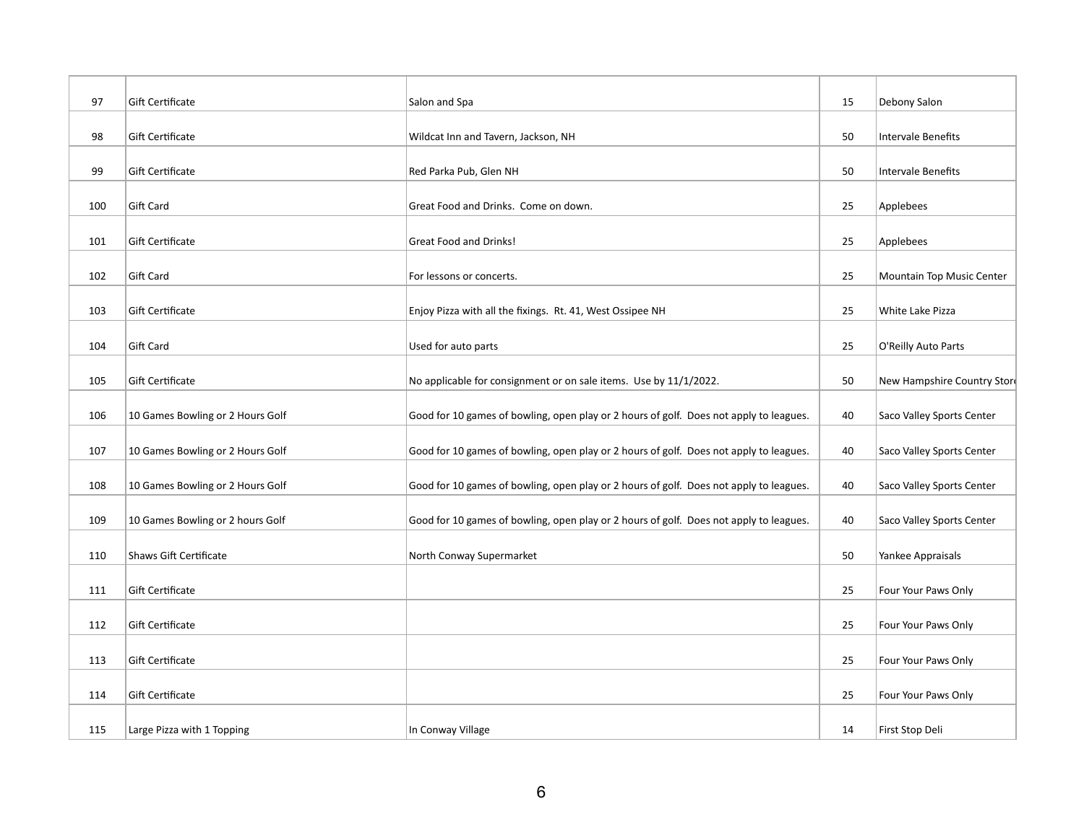| 97  | Gift Certificate                 | Salon and Spa                                                                          | 15 | Debony Salon                |
|-----|----------------------------------|----------------------------------------------------------------------------------------|----|-----------------------------|
| 98  | Gift Certificate                 | Wildcat Inn and Tavern, Jackson, NH                                                    | 50 | <b>Intervale Benefits</b>   |
| 99  | <b>Gift Certificate</b>          | Red Parka Pub, Glen NH                                                                 | 50 | <b>Intervale Benefits</b>   |
| 100 | Gift Card                        | Great Food and Drinks. Come on down.                                                   | 25 | Applebees                   |
| 101 | Gift Certificate                 | Great Food and Drinks!                                                                 | 25 | Applebees                   |
| 102 | Gift Card                        | For lessons or concerts.                                                               | 25 | Mountain Top Music Center   |
| 103 | Gift Certificate                 | Enjoy Pizza with all the fixings. Rt. 41, West Ossipee NH                              | 25 | White Lake Pizza            |
| 104 | Gift Card                        | Used for auto parts                                                                    | 25 | O'Reilly Auto Parts         |
| 105 | Gift Certificate                 | No applicable for consignment or on sale items. Use by 11/1/2022.                      | 50 | New Hampshire Country Store |
| 106 | 10 Games Bowling or 2 Hours Golf | Good for 10 games of bowling, open play or 2 hours of golf. Does not apply to leagues. | 40 | Saco Valley Sports Center   |
| 107 | 10 Games Bowling or 2 Hours Golf | Good for 10 games of bowling, open play or 2 hours of golf. Does not apply to leagues. | 40 | Saco Valley Sports Center   |
| 108 | 10 Games Bowling or 2 Hours Golf | Good for 10 games of bowling, open play or 2 hours of golf. Does not apply to leagues. | 40 | Saco Valley Sports Center   |
| 109 | 10 Games Bowling or 2 hours Golf | Good for 10 games of bowling, open play or 2 hours of golf. Does not apply to leagues. | 40 | Saco Valley Sports Center   |
| 110 | Shaws Gift Certificate           | North Conway Supermarket                                                               | 50 | Yankee Appraisals           |
| 111 | Gift Certificate                 |                                                                                        | 25 | Four Your Paws Only         |
| 112 | Gift Certificate                 |                                                                                        | 25 | Four Your Paws Only         |
| 113 | <b>Gift Certificate</b>          |                                                                                        | 25 | Four Your Paws Only         |
| 114 | Gift Certificate                 |                                                                                        | 25 | Four Your Paws Only         |
| 115 | Large Pizza with 1 Topping       | In Conway Village                                                                      | 14 | First Stop Deli             |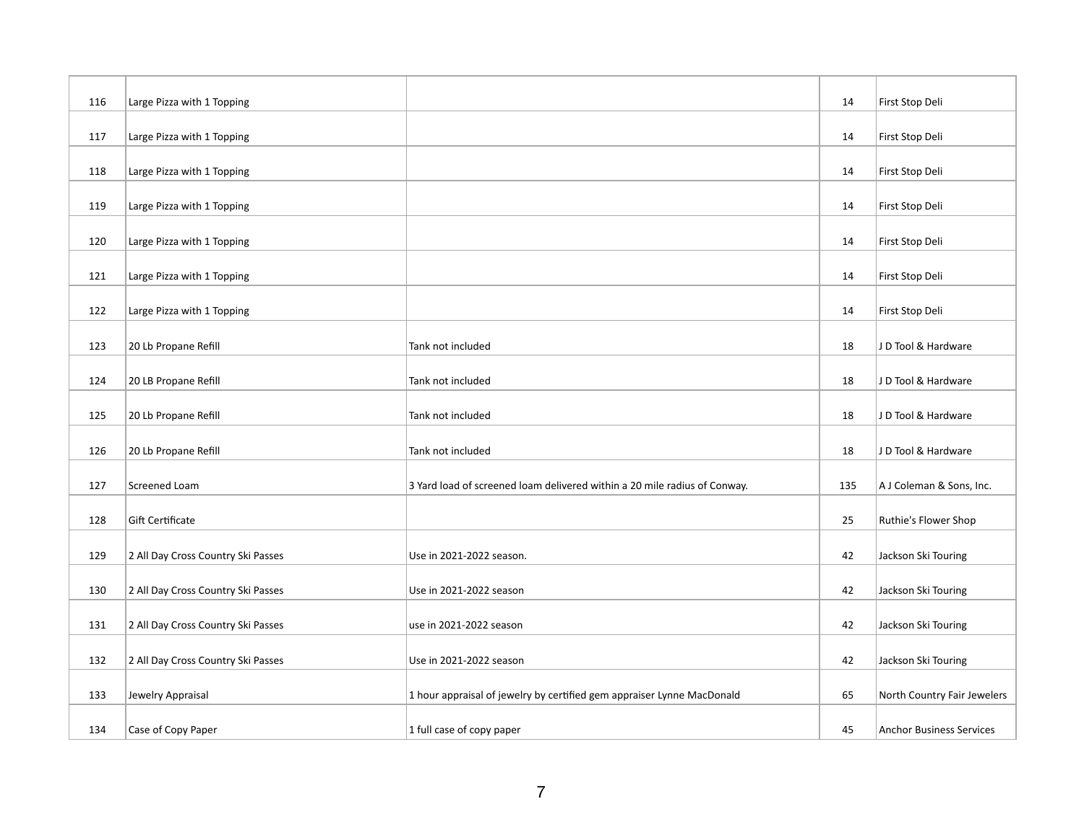| 116 | Large Pizza with 1 Topping         |                                                                           | 14  | First Stop Deli                 |
|-----|------------------------------------|---------------------------------------------------------------------------|-----|---------------------------------|
| 117 | Large Pizza with 1 Topping         |                                                                           | 14  | First Stop Deli                 |
| 118 | Large Pizza with 1 Topping         |                                                                           | 14  | First Stop Deli                 |
| 119 | Large Pizza with 1 Topping         |                                                                           | 14  | First Stop Deli                 |
| 120 | Large Pizza with 1 Topping         |                                                                           | 14  | First Stop Deli                 |
| 121 | Large Pizza with 1 Topping         |                                                                           | 14  | First Stop Deli                 |
| 122 | Large Pizza with 1 Topping         |                                                                           | 14  | First Stop Deli                 |
| 123 | 20 Lb Propane Refill               | Tank not included                                                         | 18  | J D Tool & Hardware             |
| 124 | 20 LB Propane Refill               | Tank not included                                                         | 18  | J D Tool & Hardware             |
|     |                                    |                                                                           |     |                                 |
| 125 | 20 Lb Propane Refill               | Tank not included                                                         | 18  | J D Tool & Hardware             |
| 126 | 20 Lb Propane Refill               | Tank not included                                                         | 18  | J D Tool & Hardware             |
| 127 | Screened Loam                      | 3 Yard load of screened loam delivered within a 20 mile radius of Conway. | 135 | A J Coleman & Sons, Inc.        |
| 128 | Gift Certificate                   |                                                                           | 25  | Ruthie's Flower Shop            |
| 129 | 2 All Day Cross Country Ski Passes | Use in 2021-2022 season.                                                  | 42  | Jackson Ski Touring             |
| 130 | 2 All Day Cross Country Ski Passes | Use in 2021-2022 season                                                   | 42  | Jackson Ski Touring             |
| 131 | 2 All Day Cross Country Ski Passes | use in 2021-2022 season                                                   |     |                                 |
|     |                                    |                                                                           | 42  | Jackson Ski Touring             |
| 132 | 2 All Day Cross Country Ski Passes | Use in 2021-2022 season                                                   | 42  | Jackson Ski Touring             |
| 133 | Jewelry Appraisal                  | 1 hour appraisal of jewelry by certified gem appraiser Lynne MacDonald    | 65  | North Country Fair Jewelers     |
| 134 | Case of Copy Paper                 | 1 full case of copy paper                                                 | 45  | <b>Anchor Business Services</b> |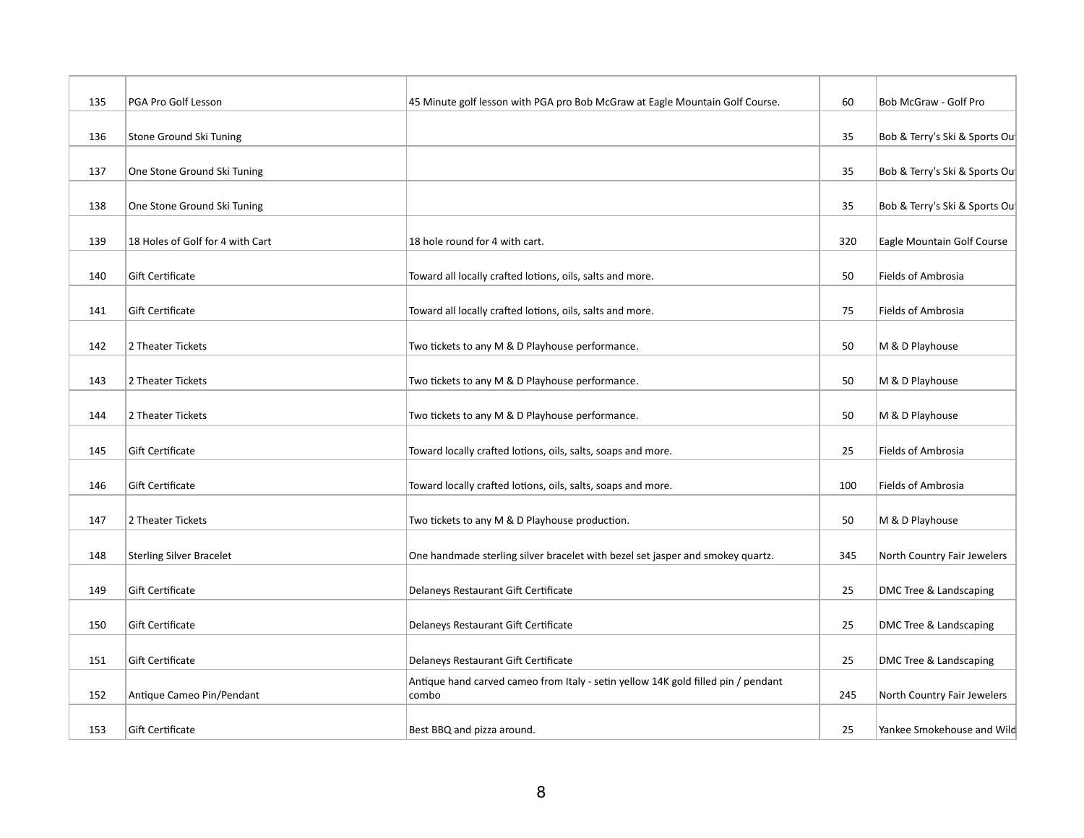| 135 | PGA Pro Golf Lesson              | 45 Minute golf lesson with PGA pro Bob McGraw at Eagle Mountain Golf Course.               | 60  | Bob McGraw - Golf Pro         |
|-----|----------------------------------|--------------------------------------------------------------------------------------------|-----|-------------------------------|
| 136 | Stone Ground Ski Tuning          |                                                                                            | 35  | Bob & Terry's Ski & Sports Ou |
| 137 | One Stone Ground Ski Tuning      |                                                                                            | 35  | Bob & Terry's Ski & Sports Ou |
| 138 | One Stone Ground Ski Tuning      |                                                                                            | 35  | Bob & Terry's Ski & Sports Ou |
| 139 | 18 Holes of Golf for 4 with Cart | 18 hole round for 4 with cart.                                                             | 320 | Eagle Mountain Golf Course    |
| 140 | Gift Certificate                 | Toward all locally crafted lotions, oils, salts and more.                                  | 50  | Fields of Ambrosia            |
| 141 | Gift Certificate                 | Toward all locally crafted lotions, oils, salts and more.                                  | 75  | Fields of Ambrosia            |
| 142 | 2 Theater Tickets                | Two tickets to any M & D Playhouse performance.                                            | 50  | M & D Playhouse               |
| 143 | 2 Theater Tickets                | Two tickets to any M & D Playhouse performance.                                            | 50  | M & D Playhouse               |
| 144 | 2 Theater Tickets                | Two tickets to any M & D Playhouse performance.                                            | 50  | M & D Playhouse               |
| 145 | Gift Certificate                 | Toward locally crafted lotions, oils, salts, soaps and more.                               | 25  | Fields of Ambrosia            |
| 146 | Gift Certificate                 | Toward locally crafted lotions, oils, salts, soaps and more.                               | 100 | <b>Fields of Ambrosia</b>     |
| 147 | 2 Theater Tickets                | Two tickets to any M & D Playhouse production.                                             | 50  | M & D Playhouse               |
| 148 | <b>Sterling Silver Bracelet</b>  | One handmade sterling silver bracelet with bezel set jasper and smokey quartz.             | 345 | North Country Fair Jewelers   |
| 149 | Gift Certificate                 | Delaneys Restaurant Gift Certificate                                                       | 25  | DMC Tree & Landscaping        |
| 150 | Gift Certificate                 | Delaneys Restaurant Gift Certificate                                                       | 25  | DMC Tree & Landscaping        |
| 151 | Gift Certificate                 | Delaneys Restaurant Gift Certificate                                                       | 25  | DMC Tree & Landscaping        |
| 152 | Antique Cameo Pin/Pendant        | Antique hand carved cameo from Italy - setin yellow 14K gold filled pin / pendant<br>combo | 245 | North Country Fair Jewelers   |
| 153 | Gift Certificate                 | Best BBQ and pizza around.                                                                 | 25  | Yankee Smokehouse and Wild    |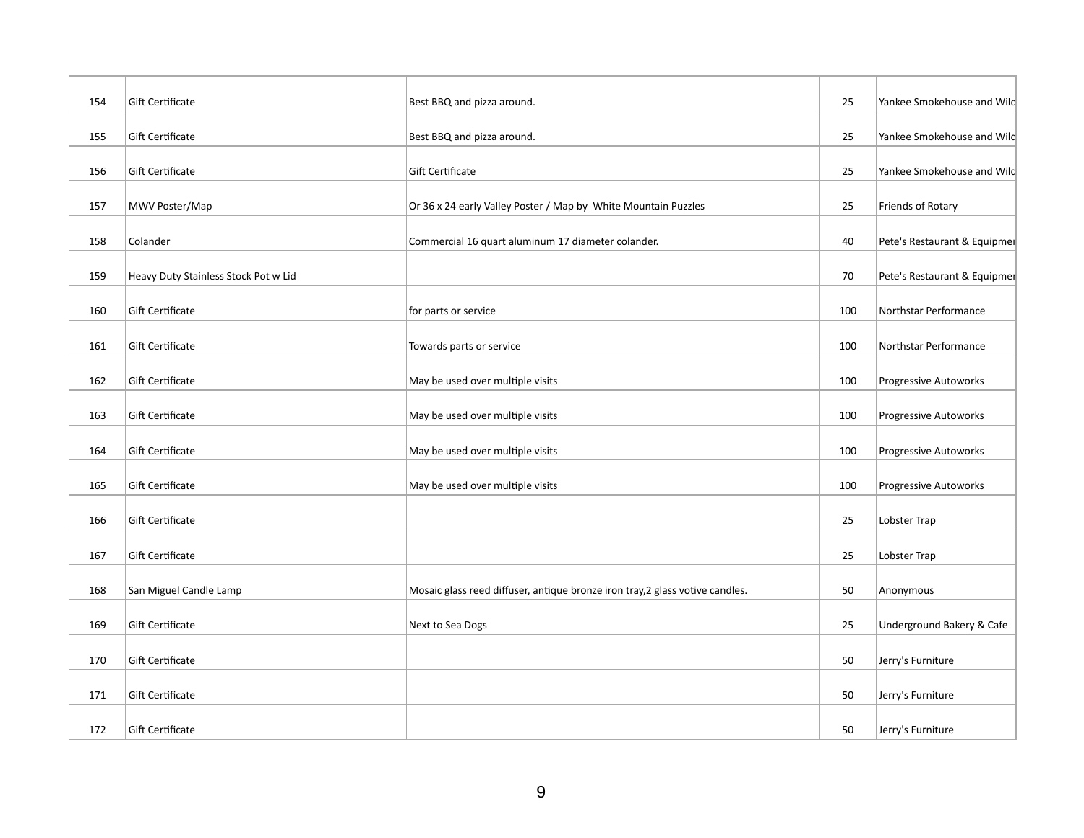| 154 | Gift Certificate                     | Best BBQ and pizza around.                                                    | 25  | Yankee Smokehouse and Wild   |
|-----|--------------------------------------|-------------------------------------------------------------------------------|-----|------------------------------|
| 155 | Gift Certificate                     | Best BBQ and pizza around.                                                    | 25  | Yankee Smokehouse and Wild   |
| 156 | Gift Certificate                     | Gift Certificate                                                              | 25  | Yankee Smokehouse and Wild   |
| 157 | MWV Poster/Map                       | Or 36 x 24 early Valley Poster / Map by White Mountain Puzzles                | 25  | Friends of Rotary            |
| 158 | Colander                             | Commercial 16 quart aluminum 17 diameter colander.                            | 40  | Pete's Restaurant & Equipmer |
| 159 | Heavy Duty Stainless Stock Pot w Lid |                                                                               | 70  | Pete's Restaurant & Equipmer |
| 160 | Gift Certificate                     | for parts or service                                                          | 100 | Northstar Performance        |
| 161 | Gift Certificate                     | Towards parts or service                                                      | 100 | Northstar Performance        |
| 162 | Gift Certificate                     | May be used over multiple visits                                              | 100 | Progressive Autoworks        |
| 163 | Gift Certificate                     | May be used over multiple visits                                              | 100 | Progressive Autoworks        |
| 164 | Gift Certificate                     | May be used over multiple visits                                              | 100 | Progressive Autoworks        |
| 165 | Gift Certificate                     | May be used over multiple visits                                              | 100 | <b>Progressive Autoworks</b> |
| 166 | Gift Certificate                     |                                                                               | 25  | Lobster Trap                 |
| 167 | Gift Certificate                     |                                                                               | 25  | Lobster Trap                 |
| 168 | San Miguel Candle Lamp               | Mosaic glass reed diffuser, antique bronze iron tray, 2 glass votive candles. | 50  | Anonymous                    |
| 169 | Gift Certificate                     | Next to Sea Dogs                                                              | 25  | Underground Bakery & Cafe    |
| 170 | Gift Certificate                     |                                                                               | 50  | Jerry's Furniture            |
| 171 | Gift Certificate                     |                                                                               | 50  | Jerry's Furniture            |
| 172 | Gift Certificate                     |                                                                               | 50  | Jerry's Furniture            |
|     |                                      |                                                                               |     |                              |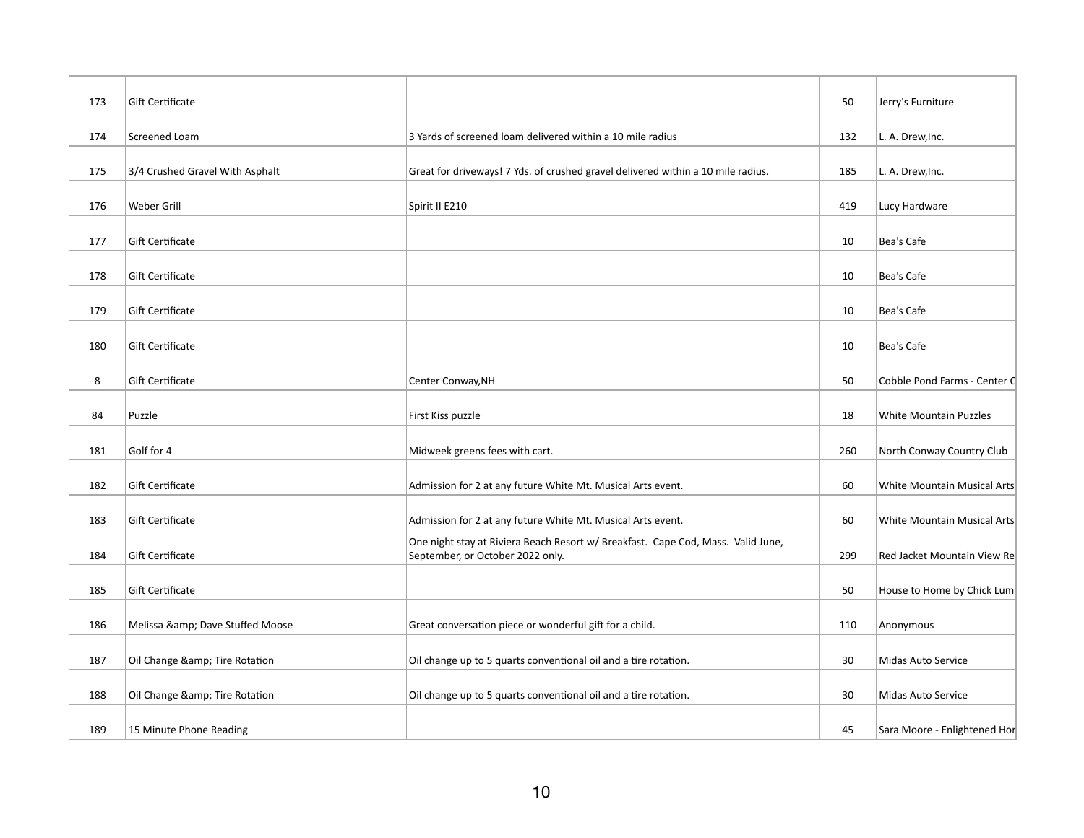| 173 | Gift Certificate                |                                                                                                                      | 50  | Jerry's Furniture             |
|-----|---------------------------------|----------------------------------------------------------------------------------------------------------------------|-----|-------------------------------|
|     |                                 |                                                                                                                      |     |                               |
| 174 | Screened Loam                   | 3 Yards of screened loam delivered within a 10 mile radius                                                           | 132 | L. A. Drew, Inc.              |
| 175 | 3/4 Crushed Gravel With Asphalt | Great for driveways! 7 Yds. of crushed gravel delivered within a 10 mile radius.                                     | 185 | L. A. Drew, Inc.              |
| 176 | Weber Grill                     | Spirit II E210                                                                                                       | 419 | Lucy Hardware                 |
| 177 | Gift Certificate                |                                                                                                                      | 10  | Bea's Cafe                    |
| 178 | Gift Certificate                |                                                                                                                      | 10  | Bea's Cafe                    |
| 179 | Gift Certificate                |                                                                                                                      | 10  | Bea's Cafe                    |
| 180 | Gift Certificate                |                                                                                                                      | 10  | Bea's Cafe                    |
| 8   | Gift Certificate                | Center Conway, NH                                                                                                    | 50  | Cobble Pond Farms - Center C  |
| 84  | Puzzle                          | First Kiss puzzle                                                                                                    | 18  | <b>White Mountain Puzzles</b> |
| 181 | Golf for 4                      | Midweek greens fees with cart.                                                                                       | 260 | North Conway Country Club     |
|     |                                 |                                                                                                                      |     |                               |
| 182 | Gift Certificate                | Admission for 2 at any future White Mt. Musical Arts event.                                                          | 60  | White Mountain Musical Arts   |
| 183 | Gift Certificate                | Admission for 2 at any future White Mt. Musical Arts event.                                                          | 60  | White Mountain Musical Arts   |
| 184 | Gift Certificate                | One night stay at Riviera Beach Resort w/ Breakfast. Cape Cod, Mass. Valid June,<br>September, or October 2022 only. | 299 | Red Jacket Mountain View Re   |
| 185 | Gift Certificate                |                                                                                                                      | 50  | House to Home by Chick Lum    |
| 186 | Melissa & Dave Stuffed Moose    | Great conversation piece or wonderful gift for a child.                                                              | 110 | Anonymous                     |
| 187 | Oil Change & Tire Rotation      | Oil change up to 5 quarts conventional oil and a tire rotation.                                                      | 30  | Midas Auto Service            |
| 188 | Oil Change & Tire Rotation      | Oil change up to 5 quarts conventional oil and a tire rotation.                                                      | 30  | Midas Auto Service            |
| 189 | 15 Minute Phone Reading         |                                                                                                                      | 45  | Sara Moore - Enlightened Hor  |
|     |                                 |                                                                                                                      |     |                               |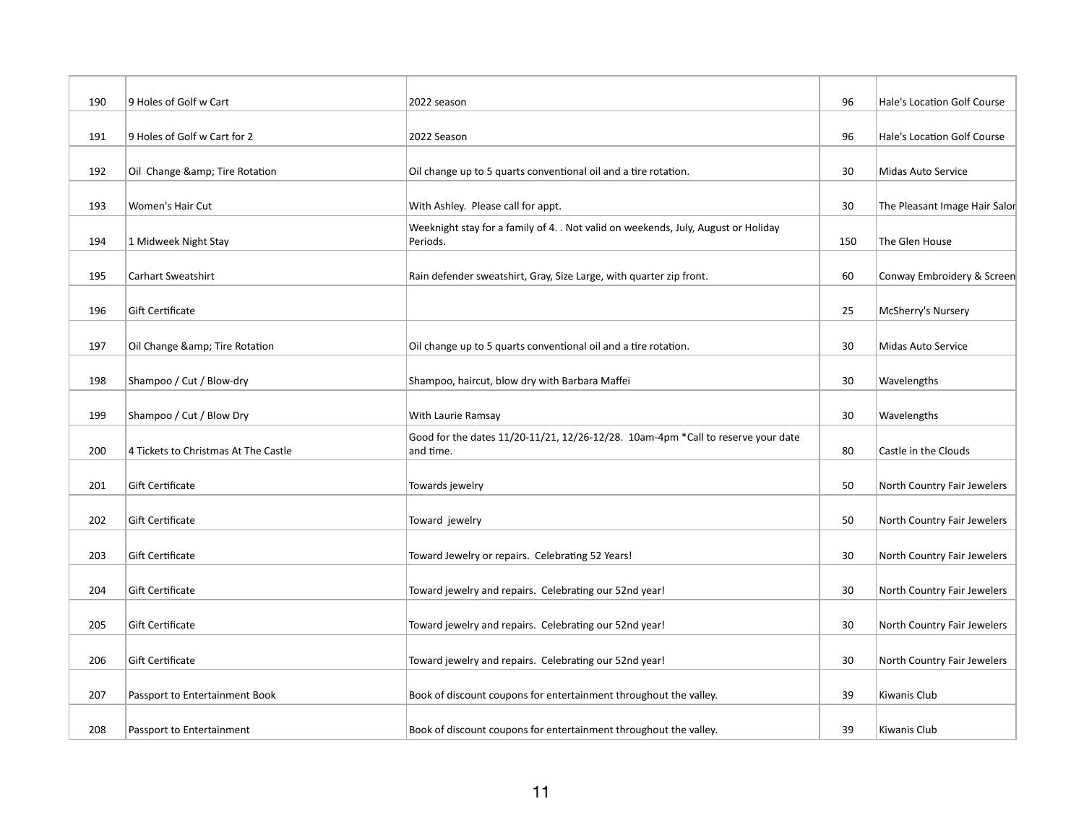| 190 | 9 Holes of Golf w Cart               | 2022 season                                                                                    | 96  | Hale's Location Golf Course   |
|-----|--------------------------------------|------------------------------------------------------------------------------------------------|-----|-------------------------------|
| 191 | 9 Holes of Golf w Cart for 2         | 2022 Season                                                                                    | 96  | Hale's Location Golf Course   |
| 192 | Oil Change & Tire Rotation           | Oil change up to 5 quarts conventional oil and a tire rotation.                                | 30  | Midas Auto Service            |
| 193 | <b>Women's Hair Cut</b>              | With Ashley. Please call for appt.                                                             | 30  | The Pleasant Image Hair Salor |
| 194 | 1 Midweek Night Stay                 | Weeknight stay for a family of 4. . Not valid on weekends, July, August or Holiday<br>Periods. | 150 | The Glen House                |
| 195 | <b>Carhart Sweatshirt</b>            | Rain defender sweatshirt, Gray, Size Large, with quarter zip front.                            | 60  | Conway Embroidery & Screen    |
| 196 | Gift Certificate                     |                                                                                                | 25  | McSherry's Nursery            |
| 197 | Oil Change & Tire Rotation           | Oil change up to 5 quarts conventional oil and a tire rotation.                                | 30  | Midas Auto Service            |
| 198 | Shampoo / Cut / Blow-dry             | Shampoo, haircut, blow dry with Barbara Maffei                                                 | 30  | Wavelengths                   |
| 199 | Shampoo / Cut / Blow Dry             | With Laurie Ramsay                                                                             | 30  | Wavelengths                   |
| 200 | 4 Tickets to Christmas At The Castle | Good for the dates 11/20-11/21, 12/26-12/28. 10am-4pm *Call to reserve your date<br>and time.  | 80  | Castle in the Clouds          |
| 201 | Gift Certificate                     | Towards jewelry                                                                                | 50  | North Country Fair Jewelers   |
| 202 | Gift Certificate                     | Toward jewelry                                                                                 | 50  | North Country Fair Jewelers   |
| 203 | Gift Certificate                     | Toward Jewelry or repairs. Celebrating 52 Years!                                               | 30  | North Country Fair Jewelers   |
| 204 | Gift Certificate                     | Toward jewelry and repairs. Celebrating our 52nd year!                                         | 30  | North Country Fair Jewelers   |
| 205 | Gift Certificate                     | Toward jewelry and repairs. Celebrating our 52nd year!                                         | 30  | North Country Fair Jewelers   |
| 206 | Gift Certificate                     | Toward jewelry and repairs. Celebrating our 52nd year!                                         | 30  | North Country Fair Jewelers   |
| 207 | Passport to Entertainment Book       | Book of discount coupons for entertainment throughout the valley.                              | 39  | Kiwanis Club                  |
| 208 | Passport to Entertainment            | Book of discount coupons for entertainment throughout the valley.                              | 39  | Kiwanis Club                  |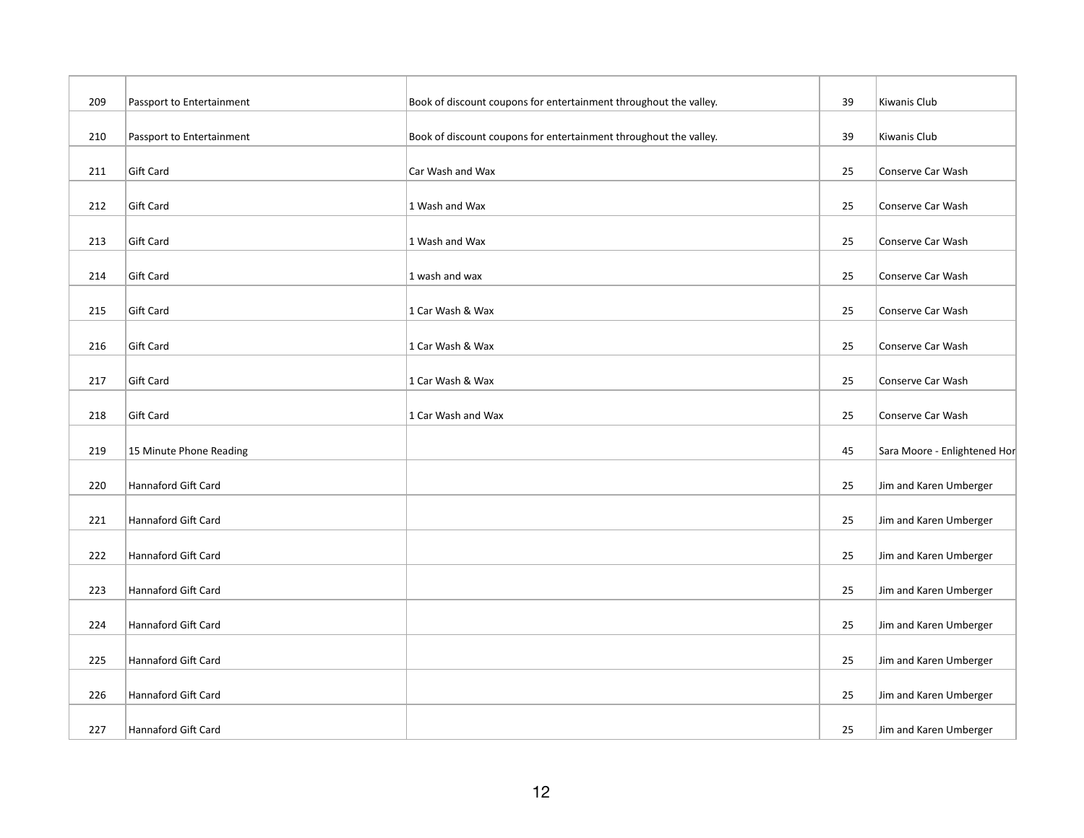| 209 | Passport to Entertainment | Book of discount coupons for entertainment throughout the valley. | 39 | Kiwanis Club                 |
|-----|---------------------------|-------------------------------------------------------------------|----|------------------------------|
| 210 | Passport to Entertainment | Book of discount coupons for entertainment throughout the valley. | 39 | Kiwanis Club                 |
|     |                           |                                                                   |    |                              |
| 211 | Gift Card                 | Car Wash and Wax                                                  | 25 | Conserve Car Wash            |
| 212 | <b>Gift Card</b>          | 1 Wash and Wax                                                    | 25 | Conserve Car Wash            |
| 213 | <b>Gift Card</b>          | 1 Wash and Wax                                                    | 25 | Conserve Car Wash            |
| 214 | Gift Card                 | 1 wash and wax                                                    | 25 | Conserve Car Wash            |
| 215 | Gift Card                 | 1 Car Wash & Wax                                                  | 25 | Conserve Car Wash            |
| 216 | <b>Gift Card</b>          | 1 Car Wash & Wax                                                  | 25 | Conserve Car Wash            |
| 217 | Gift Card                 | 1 Car Wash & Wax                                                  | 25 | Conserve Car Wash            |
|     |                           |                                                                   |    |                              |
| 218 | <b>Gift Card</b>          | 1 Car Wash and Wax                                                | 25 | Conserve Car Wash            |
| 219 | 15 Minute Phone Reading   |                                                                   | 45 | Sara Moore - Enlightened Hor |
| 220 | Hannaford Gift Card       |                                                                   | 25 | Jim and Karen Umberger       |
| 221 | Hannaford Gift Card       |                                                                   | 25 | Jim and Karen Umberger       |
| 222 | Hannaford Gift Card       |                                                                   | 25 | Jim and Karen Umberger       |
| 223 | Hannaford Gift Card       |                                                                   | 25 | Jim and Karen Umberger       |
| 224 | Hannaford Gift Card       |                                                                   | 25 | Jim and Karen Umberger       |
| 225 | Hannaford Gift Card       |                                                                   | 25 | Jim and Karen Umberger       |
|     |                           |                                                                   |    |                              |
| 226 | Hannaford Gift Card       |                                                                   | 25 | Jim and Karen Umberger       |
| 227 | Hannaford Gift Card       |                                                                   | 25 | Jim and Karen Umberger       |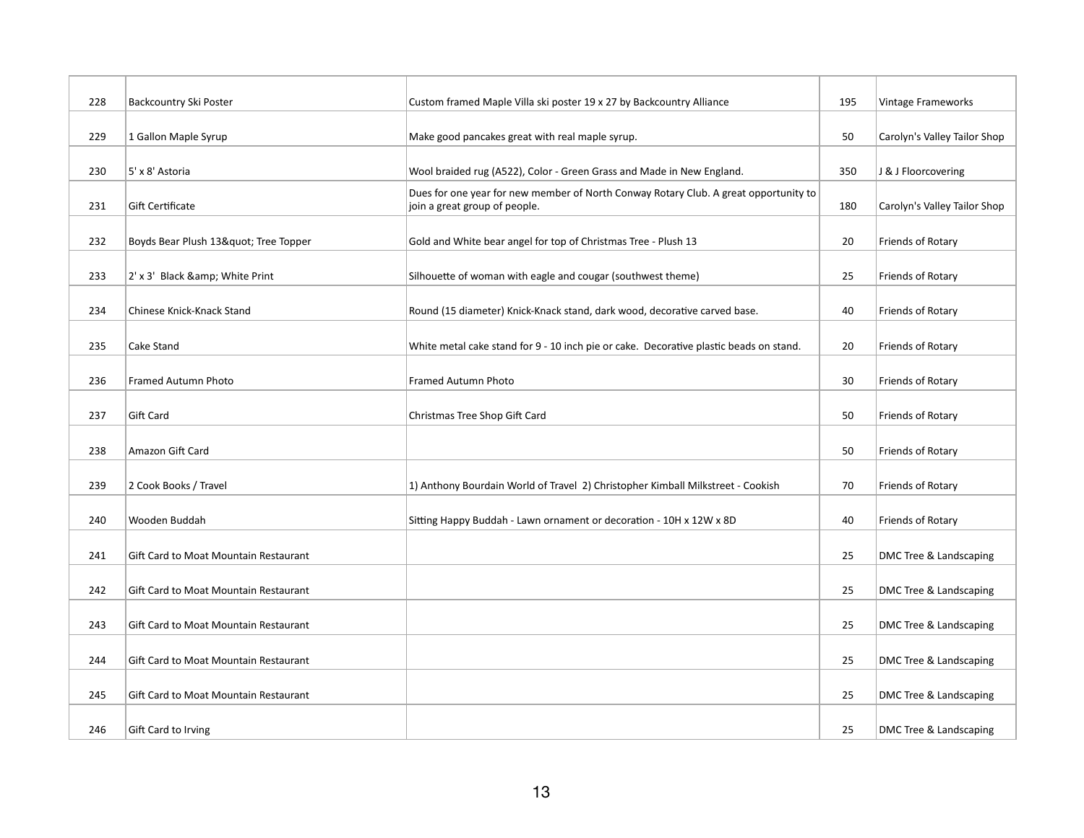| 228 | Backcountry Ski Poster                | Custom framed Maple Villa ski poster 19 x 27 by Backcountry Alliance                                                  | 195 | Vintage Frameworks           |
|-----|---------------------------------------|-----------------------------------------------------------------------------------------------------------------------|-----|------------------------------|
| 229 | 1 Gallon Maple Syrup                  | Make good pancakes great with real maple syrup.                                                                       | 50  | Carolyn's Valley Tailor Shop |
| 230 | 5' x 8' Astoria                       | Wool braided rug (A522), Color - Green Grass and Made in New England.                                                 | 350 | J & J Floorcovering          |
| 231 | Gift Certificate                      | Dues for one year for new member of North Conway Rotary Club. A great opportunity to<br>join a great group of people. | 180 | Carolyn's Valley Tailor Shop |
| 232 | Boyds Bear Plush 13" Tree Topper      | Gold and White bear angel for top of Christmas Tree - Plush 13                                                        | 20  | Friends of Rotary            |
| 233 | 2' x 3' Black & White Print           | Silhouette of woman with eagle and cougar (southwest theme)                                                           | 25  | Friends of Rotary            |
| 234 | Chinese Knick-Knack Stand             | Round (15 diameter) Knick-Knack stand, dark wood, decorative carved base.                                             | 40  | Friends of Rotary            |
| 235 | Cake Stand                            | White metal cake stand for 9 - 10 inch pie or cake. Decorative plastic beads on stand.                                | 20  | Friends of Rotary            |
| 236 | Framed Autumn Photo                   | Framed Autumn Photo                                                                                                   | 30  | Friends of Rotary            |
| 237 | Gift Card                             | Christmas Tree Shop Gift Card                                                                                         | 50  | Friends of Rotary            |
| 238 | Amazon Gift Card                      |                                                                                                                       | 50  | Friends of Rotary            |
| 239 | 2 Cook Books / Travel                 | 1) Anthony Bourdain World of Travel 2) Christopher Kimball Milkstreet - Cookish                                       | 70  | Friends of Rotary            |
| 240 |                                       |                                                                                                                       | 40  |                              |
|     | Wooden Buddah                         | Sitting Happy Buddah - Lawn ornament or decoration - 10H x 12W x 8D                                                   |     | Friends of Rotary            |
| 241 | Gift Card to Moat Mountain Restaurant |                                                                                                                       | 25  | DMC Tree & Landscaping       |
| 242 | Gift Card to Moat Mountain Restaurant |                                                                                                                       | 25  | DMC Tree & Landscaping       |
| 243 | Gift Card to Moat Mountain Restaurant |                                                                                                                       | 25  | DMC Tree & Landscaping       |
| 244 | Gift Card to Moat Mountain Restaurant |                                                                                                                       | 25  | DMC Tree & Landscaping       |
| 245 | Gift Card to Moat Mountain Restaurant |                                                                                                                       | 25  | DMC Tree & Landscaping       |
| 246 | Gift Card to Irving                   |                                                                                                                       | 25  | DMC Tree & Landscaping       |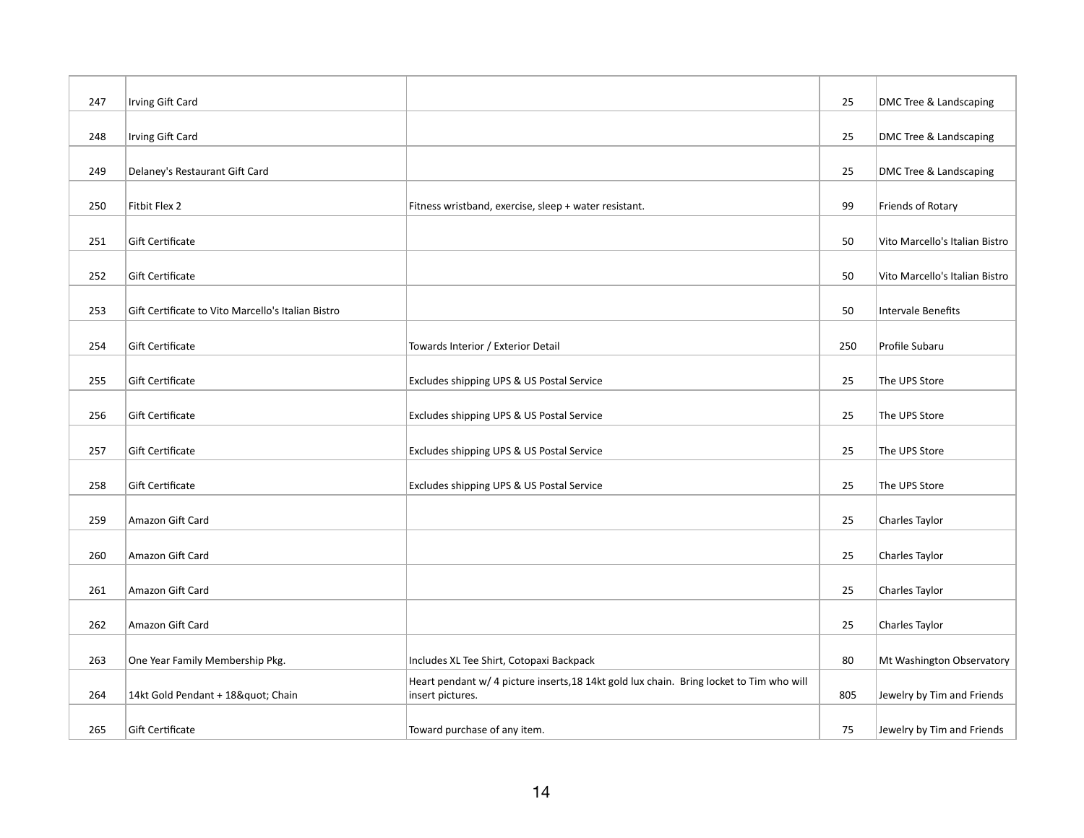| 247 | Irving Gift Card                                   |                                                                                                              | 25  | DMC Tree & Landscaping         |
|-----|----------------------------------------------------|--------------------------------------------------------------------------------------------------------------|-----|--------------------------------|
|     |                                                    |                                                                                                              |     |                                |
| 248 | Irving Gift Card                                   |                                                                                                              | 25  | DMC Tree & Landscaping         |
| 249 | Delaney's Restaurant Gift Card                     |                                                                                                              | 25  | DMC Tree & Landscaping         |
| 250 | Fitbit Flex 2                                      | Fitness wristband, exercise, sleep + water resistant.                                                        | 99  | Friends of Rotary              |
| 251 | Gift Certificate                                   |                                                                                                              | 50  | Vito Marcello's Italian Bistro |
| 252 | Gift Certificate                                   |                                                                                                              | 50  | Vito Marcello's Italian Bistro |
| 253 | Gift Certificate to Vito Marcello's Italian Bistro |                                                                                                              | 50  | Intervale Benefits             |
| 254 | Gift Certificate                                   | Towards Interior / Exterior Detail                                                                           | 250 | Profile Subaru                 |
| 255 | Gift Certificate                                   | Excludes shipping UPS & US Postal Service                                                                    | 25  | The UPS Store                  |
| 256 | Gift Certificate                                   | Excludes shipping UPS & US Postal Service                                                                    | 25  | The UPS Store                  |
| 257 | Gift Certificate                                   | Excludes shipping UPS & US Postal Service                                                                    | 25  | The UPS Store                  |
| 258 | Gift Certificate                                   | Excludes shipping UPS & US Postal Service                                                                    | 25  | The UPS Store                  |
| 259 | Amazon Gift Card                                   |                                                                                                              | 25  | Charles Taylor                 |
| 260 | Amazon Gift Card                                   |                                                                                                              | 25  | Charles Taylor                 |
| 261 | Amazon Gift Card                                   |                                                                                                              | 25  | Charles Taylor                 |
| 262 | Amazon Gift Card                                   |                                                                                                              | 25  | Charles Taylor                 |
| 263 | One Year Family Membership Pkg.                    | Includes XL Tee Shirt, Cotopaxi Backpack                                                                     | 80  | Mt Washington Observatory      |
| 264 | 14kt Gold Pendant + 18" Chain                      | Heart pendant w/ 4 picture inserts, 18 14kt gold lux chain. Bring locket to Tim who will<br>insert pictures. | 805 | Jewelry by Tim and Friends     |
| 265 | Gift Certificate                                   | Toward purchase of any item.                                                                                 | 75  | Jewelry by Tim and Friends     |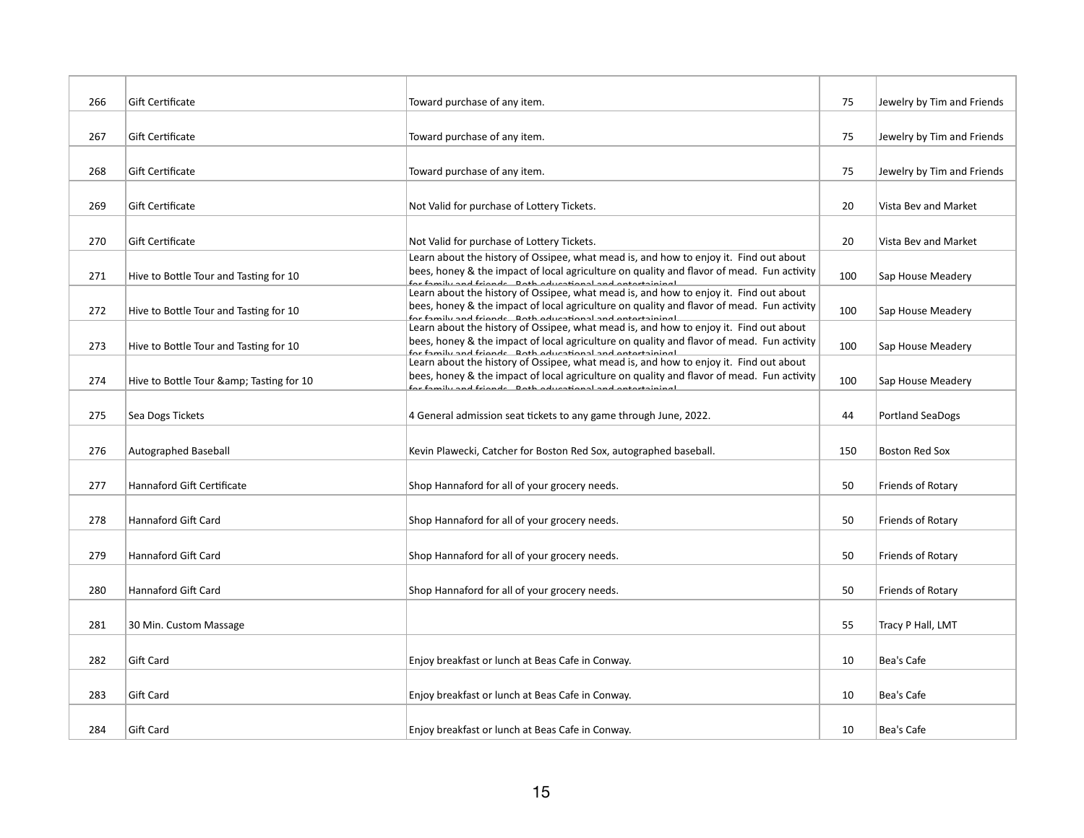| 266 | <b>Gift Certificate</b>                | Toward purchase of any item.                                                                                                                                                                                                                     | 75  | Jewelry by Tim and Friends |
|-----|----------------------------------------|--------------------------------------------------------------------------------------------------------------------------------------------------------------------------------------------------------------------------------------------------|-----|----------------------------|
| 267 | <b>Gift Certificate</b>                | Toward purchase of any item.                                                                                                                                                                                                                     | 75  | Jewelry by Tim and Friends |
| 268 | Gift Certificate                       | Toward purchase of any item.                                                                                                                                                                                                                     | 75  | Jewelry by Tim and Friends |
| 269 | <b>Gift Certificate</b>                | Not Valid for purchase of Lottery Tickets.                                                                                                                                                                                                       | 20  | Vista Bev and Market       |
| 270 | <b>Gift Certificate</b>                | Not Valid for purchase of Lottery Tickets.                                                                                                                                                                                                       | 20  | Vista Bev and Market       |
| 271 | Hive to Bottle Tour and Tasting for 10 | Learn about the history of Ossipee, what mead is, and how to enjoy it. Find out about<br>bees, honey & the impact of local agriculture on quality and flavor of mead. Fun activity<br>for family and friands. Both advestional and ontertaining! | 100 | Sap House Meadery          |
| 272 | Hive to Bottle Tour and Tasting for 10 | Learn about the history of Ossipee, what mead is, and how to enjoy it. Find out about<br>bees, honey & the impact of local agriculture on quality and flavor of mead. Fun activity<br>for family and friands Doth advestional and ontertaining!  | 100 | Sap House Meadery          |
| 273 | Hive to Bottle Tour and Tasting for 10 | Learn about the history of Ossipee, what mead is, and how to enjoy it. Find out about<br>bees, honey & the impact of local agriculture on quality and flavor of mead. Fun activity<br>for family and friands Doth advestional and ontertaining!  | 100 | Sap House Meadery          |
| 274 | Hive to Bottle Tour & Tasting for 10   | Learn about the history of Ossipee, what mead is, and how to enjoy it. Find out about<br>bees, honey & the impact of local agriculture on quality and flavor of mead. Fun activity<br>for family and friands. Roth aducational and ontortaining! | 100 | Sap House Meadery          |
| 275 | Sea Dogs Tickets                       | 4 General admission seat tickets to any game through June, 2022.                                                                                                                                                                                 | 44  | <b>Portland SeaDogs</b>    |
| 276 | Autographed Baseball                   | Kevin Plawecki, Catcher for Boston Red Sox, autographed baseball.                                                                                                                                                                                | 150 | <b>Boston Red Sox</b>      |
| 277 | Hannaford Gift Certificate             | Shop Hannaford for all of your grocery needs.                                                                                                                                                                                                    | 50  | Friends of Rotary          |
| 278 | Hannaford Gift Card                    | Shop Hannaford for all of your grocery needs.                                                                                                                                                                                                    | 50  | Friends of Rotary          |
| 279 | <b>Hannaford Gift Card</b>             | Shop Hannaford for all of your grocery needs.                                                                                                                                                                                                    | 50  | Friends of Rotary          |
| 280 | <b>Hannaford Gift Card</b>             | Shop Hannaford for all of your grocery needs.                                                                                                                                                                                                    | 50  | Friends of Rotary          |
| 281 | 30 Min. Custom Massage                 |                                                                                                                                                                                                                                                  | 55  | Tracy P Hall, LMT          |
| 282 | Gift Card                              | Enjoy breakfast or lunch at Beas Cafe in Conway.                                                                                                                                                                                                 | 10  | Bea's Cafe                 |
| 283 | Gift Card                              | Enjoy breakfast or lunch at Beas Cafe in Conway.                                                                                                                                                                                                 | 10  | Bea's Cafe                 |
| 284 | <b>Gift Card</b>                       | Enjoy breakfast or lunch at Beas Cafe in Conway.                                                                                                                                                                                                 | 10  | Bea's Cafe                 |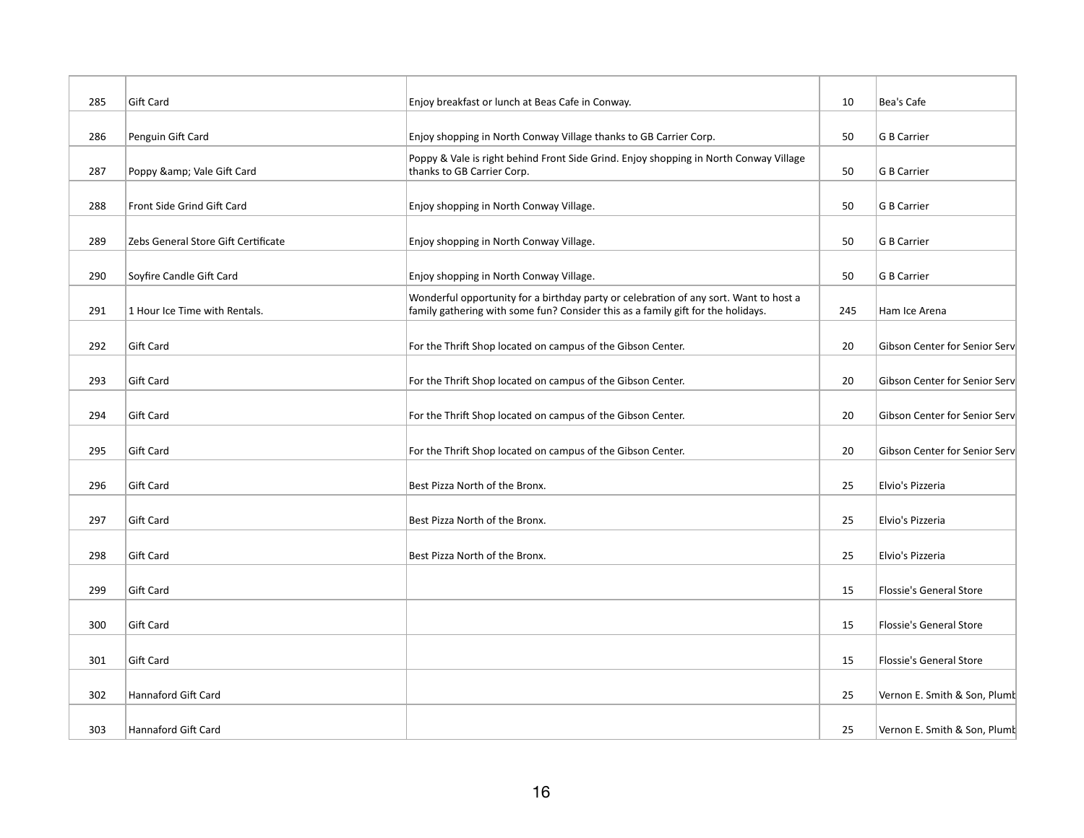| 285 | Gift Card                           | Enjoy breakfast or lunch at Beas Cafe in Conway.                                                                                                                          | 10  | Bea's Cafe                     |
|-----|-------------------------------------|---------------------------------------------------------------------------------------------------------------------------------------------------------------------------|-----|--------------------------------|
| 286 | Penguin Gift Card                   | Enjoy shopping in North Conway Village thanks to GB Carrier Corp.                                                                                                         | 50  | G B Carrier                    |
| 287 | Poppy & Vale Gift Card              | Poppy & Vale is right behind Front Side Grind. Enjoy shopping in North Conway Village<br>thanks to GB Carrier Corp.                                                       | 50  | G B Carrier                    |
| 288 | Front Side Grind Gift Card          | Enjoy shopping in North Conway Village.                                                                                                                                   | 50  | G B Carrier                    |
| 289 | Zebs General Store Gift Certificate | Enjoy shopping in North Conway Village.                                                                                                                                   | 50  | G B Carrier                    |
| 290 | Soyfire Candle Gift Card            | Enjoy shopping in North Conway Village.                                                                                                                                   | 50  | G B Carrier                    |
| 291 | 1 Hour Ice Time with Rentals.       | Wonderful opportunity for a birthday party or celebration of any sort. Want to host a<br>family gathering with some fun? Consider this as a family gift for the holidays. | 245 | Ham Ice Arena                  |
| 292 | Gift Card                           | For the Thrift Shop located on campus of the Gibson Center.                                                                                                               | 20  | Gibson Center for Senior Serv  |
| 293 | Gift Card                           | For the Thrift Shop located on campus of the Gibson Center.                                                                                                               | 20  | Gibson Center for Senior Serv  |
| 294 | Gift Card                           | For the Thrift Shop located on campus of the Gibson Center.                                                                                                               | 20  | Gibson Center for Senior Serv  |
| 295 | Gift Card                           | For the Thrift Shop located on campus of the Gibson Center.                                                                                                               | 20  | Gibson Center for Senior Serv  |
| 296 | Gift Card                           | Best Pizza North of the Bronx.                                                                                                                                            | 25  | Elvio's Pizzeria               |
| 297 | Gift Card                           | Best Pizza North of the Bronx.                                                                                                                                            | 25  | Elvio's Pizzeria               |
| 298 | Gift Card                           | Best Pizza North of the Bronx.                                                                                                                                            | 25  | Elvio's Pizzeria               |
| 299 | Gift Card                           |                                                                                                                                                                           | 15  | Flossie's General Store        |
| 300 | Gift Card                           |                                                                                                                                                                           | 15  | Flossie's General Store        |
| 301 | Gift Card                           |                                                                                                                                                                           | 15  | <b>Flossie's General Store</b> |
| 302 | <b>Hannaford Gift Card</b>          |                                                                                                                                                                           |     |                                |
|     |                                     |                                                                                                                                                                           | 25  | Vernon E. Smith & Son, Plumb   |
| 303 | Hannaford Gift Card                 |                                                                                                                                                                           | 25  | Vernon E. Smith & Son, Plumb   |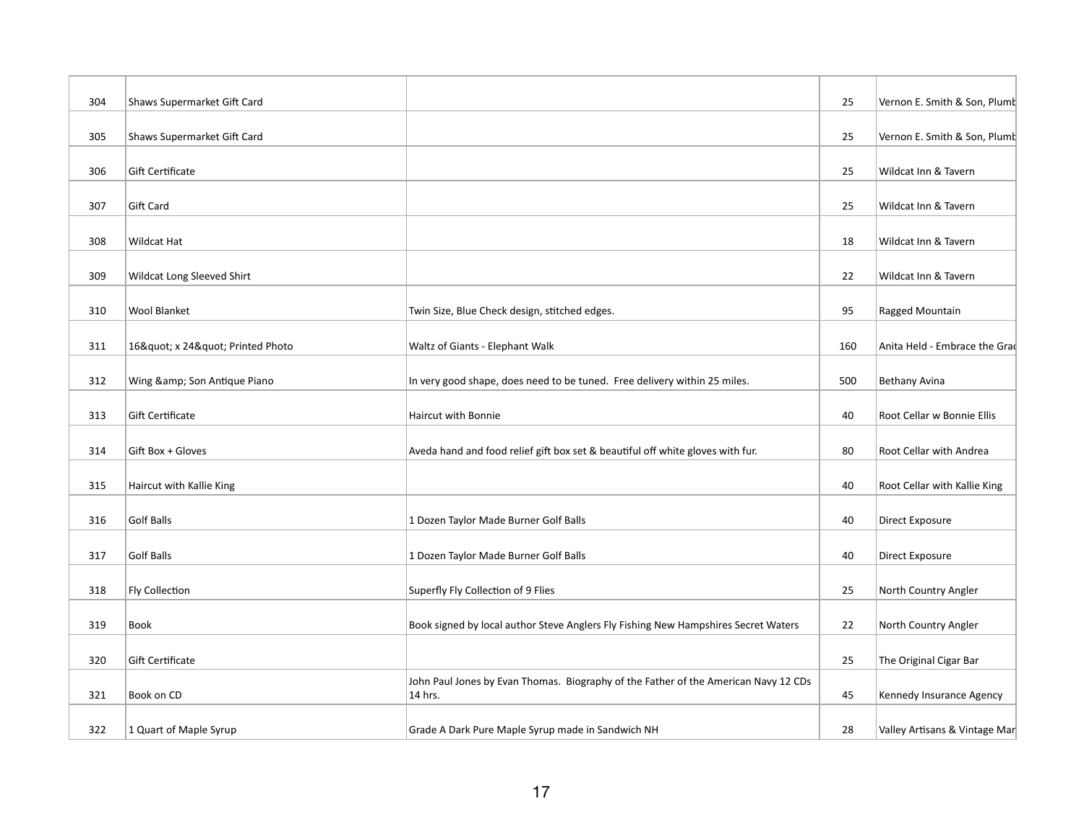| 304 | Shaws Supermarket Gift Card |                                                                                                | 25  | Vernon E. Smith & Son, Plumt  |
|-----|-----------------------------|------------------------------------------------------------------------------------------------|-----|-------------------------------|
| 305 | Shaws Supermarket Gift Card |                                                                                                | 25  | Vernon E. Smith & Son, Plumt  |
| 306 | Gift Certificate            |                                                                                                | 25  | Wildcat Inn & Tavern          |
| 307 | Gift Card                   |                                                                                                | 25  | Wildcat Inn & Tavern          |
| 308 | Wildcat Hat                 |                                                                                                | 18  | Wildcat Inn & Tavern          |
| 309 | Wildcat Long Sleeved Shirt  |                                                                                                | 22  | Wildcat Inn & Tavern          |
| 310 | <b>Wool Blanket</b>         | Twin Size, Blue Check design, stitched edges.                                                  | 95  | Ragged Mountain               |
| 311 | 16" x 24" Printed Photo     | Waltz of Giants - Elephant Walk                                                                | 160 | Anita Held - Embrace the Grad |
| 312 | Wing & Son Antique Piano    | In very good shape, does need to be tuned. Free delivery within 25 miles.                      | 500 | Bethany Avina                 |
| 313 | Gift Certificate            | Haircut with Bonnie                                                                            | 40  | Root Cellar w Bonnie Ellis    |
| 314 | Gift Box + Gloves           | Aveda hand and food relief gift box set & beautiful off white gloves with fur.                 | 80  | Root Cellar with Andrea       |
| 315 | Haircut with Kallie King    |                                                                                                | 40  | Root Cellar with Kallie King  |
| 316 | <b>Golf Balls</b>           | 1 Dozen Taylor Made Burner Golf Balls                                                          | 40  | Direct Exposure               |
| 317 | Golf Balls                  | 1 Dozen Taylor Made Burner Golf Balls                                                          | 40  | Direct Exposure               |
| 318 | Fly Collection              | Superfly Fly Collection of 9 Flies                                                             | 25  | North Country Angler          |
| 319 | Book                        | Book signed by local author Steve Anglers Fly Fishing New Hampshires Secret Waters             | 22  | North Country Angler          |
| 320 | Gift Certificate            |                                                                                                | 25  | The Original Cigar Bar        |
| 321 | Book on CD                  | John Paul Jones by Evan Thomas. Biography of the Father of the American Navy 12 CDs<br>14 hrs. | 45  | Kennedy Insurance Agency      |
| 322 | 1 Quart of Maple Syrup      | Grade A Dark Pure Maple Syrup made in Sandwich NH                                              | 28  | Valley Artisans & Vintage Mar |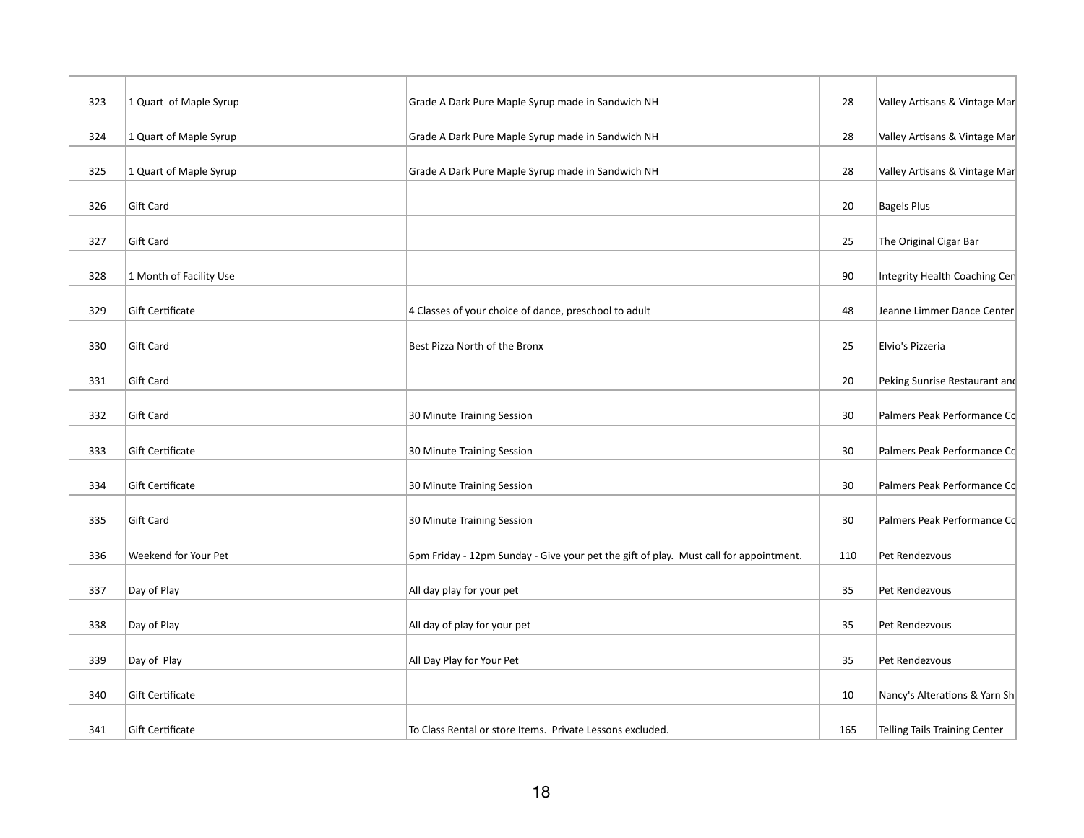| 323 | 1 Quart of Maple Syrup  | Grade A Dark Pure Maple Syrup made in Sandwich NH                                     | 28  | Valley Artisans & Vintage Mar        |
|-----|-------------------------|---------------------------------------------------------------------------------------|-----|--------------------------------------|
| 324 | 1 Quart of Maple Syrup  | Grade A Dark Pure Maple Syrup made in Sandwich NH                                     | 28  | Valley Artisans & Vintage Mar        |
| 325 | 1 Quart of Maple Syrup  | Grade A Dark Pure Maple Syrup made in Sandwich NH                                     | 28  | Valley Artisans & Vintage Mar        |
| 326 | Gift Card               |                                                                                       | 20  | <b>Bagels Plus</b>                   |
| 327 | Gift Card               |                                                                                       | 25  | The Original Cigar Bar               |
| 328 | 1 Month of Facility Use |                                                                                       | 90  | Integrity Health Coaching Cen        |
| 329 | Gift Certificate        | 4 Classes of your choice of dance, preschool to adult                                 | 48  | Jeanne Limmer Dance Center           |
| 330 | Gift Card               | Best Pizza North of the Bronx                                                         | 25  | Elvio's Pizzeria                     |
| 331 | Gift Card               |                                                                                       | 20  | Peking Sunrise Restaurant and        |
| 332 | Gift Card               | 30 Minute Training Session                                                            | 30  | Palmers Peak Performance Co          |
| 333 | Gift Certificate        | 30 Minute Training Session                                                            | 30  | Palmers Peak Performance Co          |
| 334 | <b>Gift Certificate</b> | 30 Minute Training Session                                                            | 30  | Palmers Peak Performance Co          |
| 335 | Gift Card               | 30 Minute Training Session                                                            | 30  | Palmers Peak Performance Co          |
| 336 | Weekend for Your Pet    | 6pm Friday - 12pm Sunday - Give your pet the gift of play. Must call for appointment. | 110 | Pet Rendezvous                       |
| 337 | Day of Play             | All day play for your pet                                                             | 35  | Pet Rendezvous                       |
| 338 | Day of Play             | All day of play for your pet                                                          | 35  | Pet Rendezvous                       |
| 339 | Day of Play             | All Day Play for Your Pet                                                             | 35  | Pet Rendezvous                       |
| 340 | Gift Certificate        |                                                                                       | 10  | Nancy's Alterations & Yarn Sh        |
| 341 | Gift Certificate        | To Class Rental or store Items. Private Lessons excluded.                             | 165 | <b>Telling Tails Training Center</b> |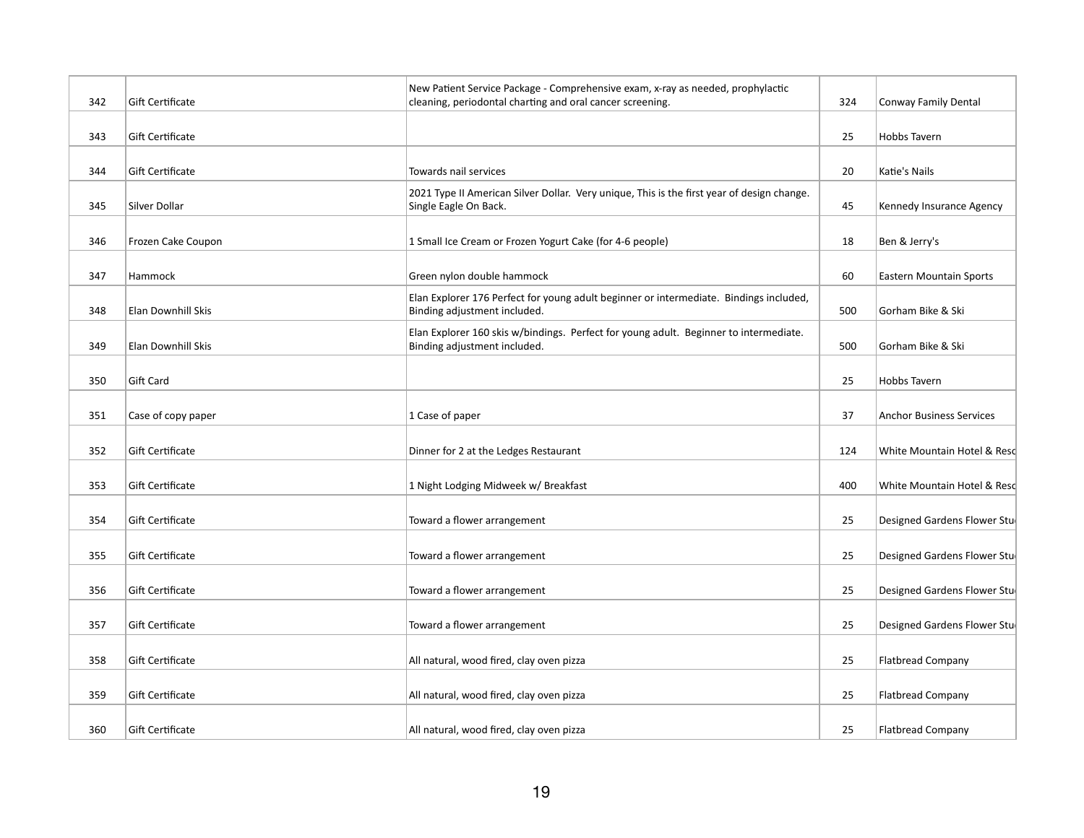| 342 | Gift Certificate        | New Patient Service Package - Comprehensive exam, x-ray as needed, prophylactic<br>cleaning, periodontal charting and oral cancer screening. | 324 | Conway Family Dental            |
|-----|-------------------------|----------------------------------------------------------------------------------------------------------------------------------------------|-----|---------------------------------|
| 343 | Gift Certificate        |                                                                                                                                              | 25  | <b>Hobbs Tavern</b>             |
| 344 | Gift Certificate        | Towards nail services                                                                                                                        | 20  | Katie's Nails                   |
| 345 | Silver Dollar           | 2021 Type II American Silver Dollar. Very unique, This is the first year of design change.<br>Single Eagle On Back.                          | 45  | Kennedy Insurance Agency        |
| 346 | Frozen Cake Coupon      | 1 Small Ice Cream or Frozen Yogurt Cake (for 4-6 people)                                                                                     | 18  | Ben & Jerry's                   |
| 347 | Hammock                 | Green nylon double hammock                                                                                                                   | 60  | <b>Eastern Mountain Sports</b>  |
| 348 | Elan Downhill Skis      | Elan Explorer 176 Perfect for young adult beginner or intermediate. Bindings included,<br>Binding adjustment included.                       | 500 | Gorham Bike & Ski               |
| 349 | Elan Downhill Skis      | Elan Explorer 160 skis w/bindings. Perfect for young adult. Beginner to intermediate.<br>Binding adjustment included.                        | 500 | Gorham Bike & Ski               |
| 350 | Gift Card               |                                                                                                                                              | 25  | <b>Hobbs Tavern</b>             |
| 351 | Case of copy paper      | 1 Case of paper                                                                                                                              | 37  | <b>Anchor Business Services</b> |
| 352 | <b>Gift Certificate</b> | Dinner for 2 at the Ledges Restaurant                                                                                                        | 124 | White Mountain Hotel & Resc     |
| 353 | Gift Certificate        | 1 Night Lodging Midweek w/ Breakfast                                                                                                         | 400 | White Mountain Hotel & Resd     |
| 354 | Gift Certificate        | Toward a flower arrangement                                                                                                                  | 25  | Designed Gardens Flower Stud    |
| 355 | Gift Certificate        | Toward a flower arrangement                                                                                                                  | 25  | Designed Gardens Flower Stud    |
| 356 | Gift Certificate        | Toward a flower arrangement                                                                                                                  | 25  | Designed Gardens Flower Stu     |
| 357 | Gift Certificate        | Toward a flower arrangement                                                                                                                  | 25  | Designed Gardens Flower Stud    |
| 358 | Gift Certificate        | All natural, wood fired, clay oven pizza                                                                                                     | 25  | <b>Flatbread Company</b>        |
| 359 | Gift Certificate        | All natural, wood fired, clay oven pizza                                                                                                     | 25  | <b>Flatbread Company</b>        |
| 360 | <b>Gift Certificate</b> | All natural, wood fired, clay oven pizza                                                                                                     | 25  | <b>Flatbread Company</b>        |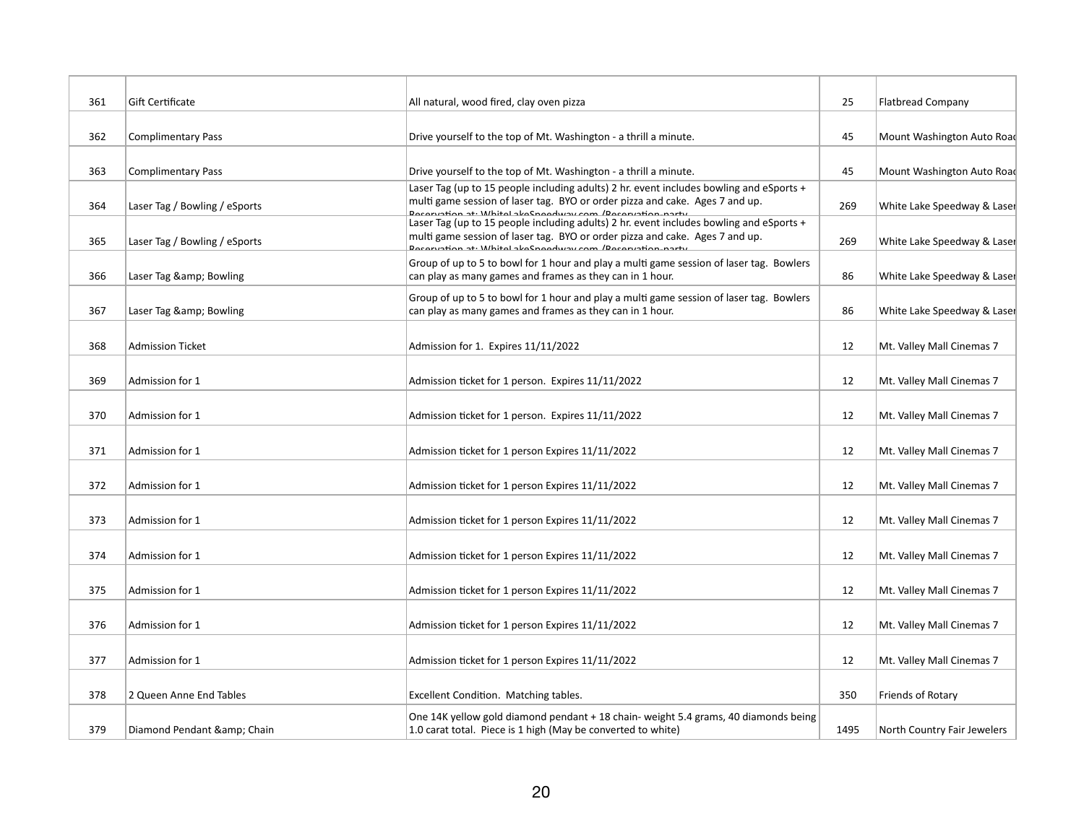| 361 | <b>Gift Certificate</b>       | All natural, wood fired, clay oven pizza                                                                                                                                                                                           | 25   | <b>Flatbread Company</b>    |
|-----|-------------------------------|------------------------------------------------------------------------------------------------------------------------------------------------------------------------------------------------------------------------------------|------|-----------------------------|
|     |                               |                                                                                                                                                                                                                                    |      |                             |
| 362 | <b>Complimentary Pass</b>     | Drive yourself to the top of Mt. Washington - a thrill a minute.                                                                                                                                                                   | 45   | Mount Washington Auto Road  |
| 363 | <b>Complimentary Pass</b>     | Drive yourself to the top of Mt. Washington - a thrill a minute.<br>Laser Tag (up to 15 people including adults) 2 hr. event includes bowling and eSports +                                                                        | 45   | Mount Washington Auto Road  |
| 364 | Laser Tag / Bowling / eSports | multi game session of laser tag. BYO or order pizza and cake. Ages 7 and up.<br>Docoruntion at: Whitel akoCnoodway.com /Docoruntion.narty                                                                                          | 269  | White Lake Speedway & Laser |
| 365 | Laser Tag / Bowling / eSports | Laser Tag (up to 15 people including adults) 2 hr. event includes bowling and eSports +<br>multi game session of laser tag. BYO or order pizza and cake. Ages 7 and up.<br>Decemption at: Whitel akeCnoodway.com /Decemption narty | 269  | White Lake Speedway & Laser |
| 366 | Laser Tag & Bowling           | Group of up to 5 to bowl for 1 hour and play a multi game session of laser tag. Bowlers<br>can play as many games and frames as they can in 1 hour.                                                                                | 86   | White Lake Speedway & Laser |
| 367 | Laser Tag & Bowling           | Group of up to 5 to bowl for 1 hour and play a multi game session of laser tag. Bowlers<br>can play as many games and frames as they can in 1 hour.                                                                                | 86   | White Lake Speedway & Laser |
| 368 | <b>Admission Ticket</b>       | Admission for 1. Expires 11/11/2022                                                                                                                                                                                                | 12   | Mt. Valley Mall Cinemas 7   |
| 369 | Admission for 1               | Admission ticket for 1 person. Expires 11/11/2022                                                                                                                                                                                  | 12   | Mt. Valley Mall Cinemas 7   |
| 370 | Admission for 1               | Admission ticket for 1 person. Expires 11/11/2022                                                                                                                                                                                  | 12   | Mt. Valley Mall Cinemas 7   |
| 371 | Admission for 1               | Admission ticket for 1 person Expires 11/11/2022                                                                                                                                                                                   | 12   | Mt. Valley Mall Cinemas 7   |
| 372 | Admission for 1               | Admission ticket for 1 person Expires 11/11/2022                                                                                                                                                                                   | 12   | Mt. Valley Mall Cinemas 7   |
| 373 | Admission for 1               | Admission ticket for 1 person Expires 11/11/2022                                                                                                                                                                                   | 12   | Mt. Valley Mall Cinemas 7   |
| 374 | Admission for 1               | Admission ticket for 1 person Expires 11/11/2022                                                                                                                                                                                   | 12   | Mt. Valley Mall Cinemas 7   |
| 375 | Admission for 1               | Admission ticket for 1 person Expires 11/11/2022                                                                                                                                                                                   | 12   | Mt. Valley Mall Cinemas 7   |
| 376 | Admission for 1               | Admission ticket for 1 person Expires 11/11/2022                                                                                                                                                                                   | 12   | Mt. Valley Mall Cinemas 7   |
| 377 | Admission for 1               | Admission ticket for 1 person Expires 11/11/2022                                                                                                                                                                                   | 12   | Mt. Valley Mall Cinemas 7   |
| 378 | 2 Queen Anne End Tables       | Excellent Condition. Matching tables.                                                                                                                                                                                              | 350  | Friends of Rotary           |
| 379 | Diamond Pendant & Chain       | One 14K yellow gold diamond pendant + 18 chain- weight 5.4 grams, 40 diamonds being<br>1.0 carat total. Piece is 1 high (May be converted to white)                                                                                | 1495 | North Country Fair Jewelers |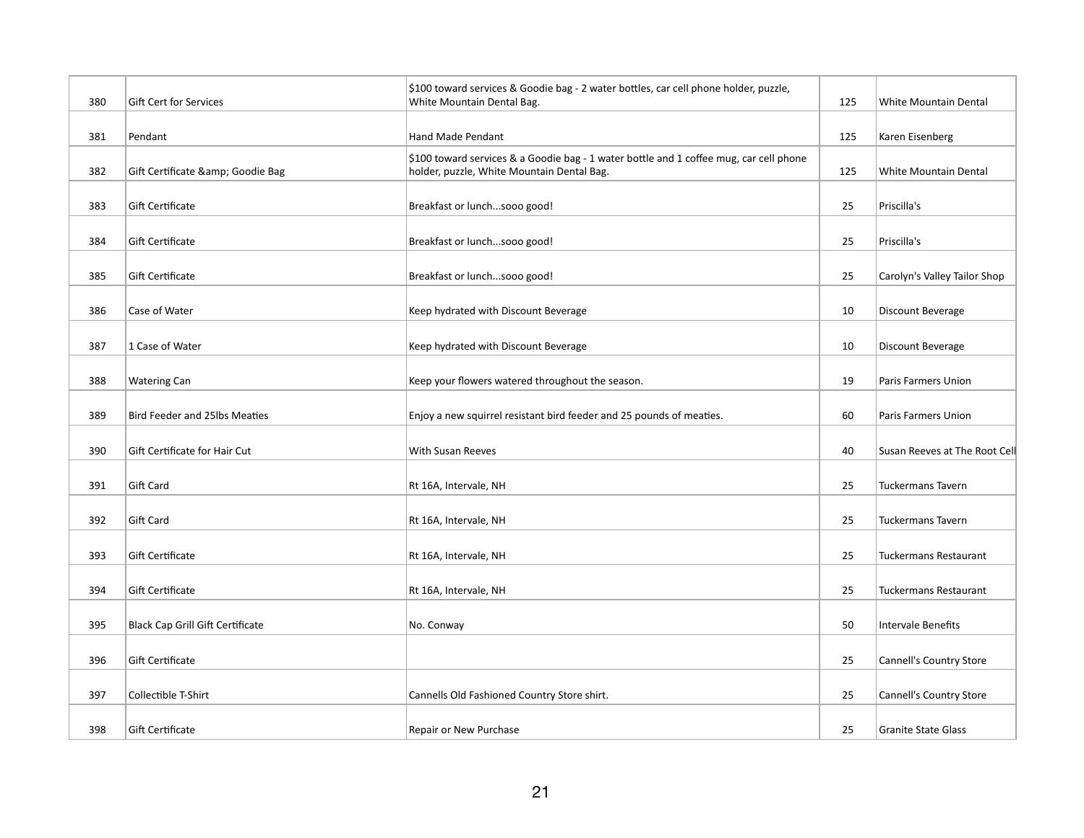| 380 | Gift Cert for Services                  | \$100 toward services & Goodie bag - 2 water bottles, car cell phone holder, puzzle,<br>White Mountain Dental Bag.                   | 125 | White Mountain Dental          |
|-----|-----------------------------------------|--------------------------------------------------------------------------------------------------------------------------------------|-----|--------------------------------|
| 381 | Pendant                                 | Hand Made Pendant                                                                                                                    | 125 | Karen Eisenberg                |
| 382 | Gift Certificate & Goodie Bag           | \$100 toward services & a Goodie bag - 1 water bottle and 1 coffee mug, car cell phone<br>holder, puzzle, White Mountain Dental Bag. | 125 | White Mountain Dental          |
| 383 | Gift Certificate                        | Breakfast or lunchsooo good!                                                                                                         | 25  | Priscilla's                    |
| 384 | Gift Certificate                        | Breakfast or lunchsooo good!                                                                                                         | 25  | Priscilla's                    |
| 385 | Gift Certificate                        | Breakfast or lunchsooo good!                                                                                                         | 25  | Carolyn's Valley Tailor Shop   |
| 386 | Case of Water                           | Keep hydrated with Discount Beverage                                                                                                 | 10  | Discount Beverage              |
| 387 | 1 Case of Water                         | Keep hydrated with Discount Beverage                                                                                                 | 10  | Discount Beverage              |
| 388 | <b>Watering Can</b>                     | Keep your flowers watered throughout the season.                                                                                     | 19  | Paris Farmers Union            |
| 389 | Bird Feeder and 25lbs Meaties           | Enjoy a new squirrel resistant bird feeder and 25 pounds of meaties.                                                                 | 60  | Paris Farmers Union            |
| 390 | Gift Certificate for Hair Cut           | With Susan Reeves                                                                                                                    | 40  | Susan Reeves at The Root Cell  |
| 391 | Gift Card                               | Rt 16A, Intervale, NH                                                                                                                | 25  | <b>Tuckermans Tavern</b>       |
| 392 | Gift Card                               | Rt 16A, Intervale, NH                                                                                                                | 25  | <b>Tuckermans Tavern</b>       |
| 393 | Gift Certificate                        | Rt 16A, Intervale, NH                                                                                                                | 25  | <b>Tuckermans Restaurant</b>   |
| 394 | Gift Certificate                        | Rt 16A, Intervale, NH                                                                                                                | 25  | Tuckermans Restaurant          |
| 395 | <b>Black Cap Grill Gift Certificate</b> | No. Conway                                                                                                                           | 50  | <b>Intervale Benefits</b>      |
| 396 | Gift Certificate                        |                                                                                                                                      | 25  | Cannell's Country Store        |
| 397 | Collectible T-Shirt                     | Cannells Old Fashioned Country Store shirt.                                                                                          | 25  | <b>Cannell's Country Store</b> |
| 398 | Gift Certificate                        | Repair or New Purchase                                                                                                               | 25  | <b>Granite State Glass</b>     |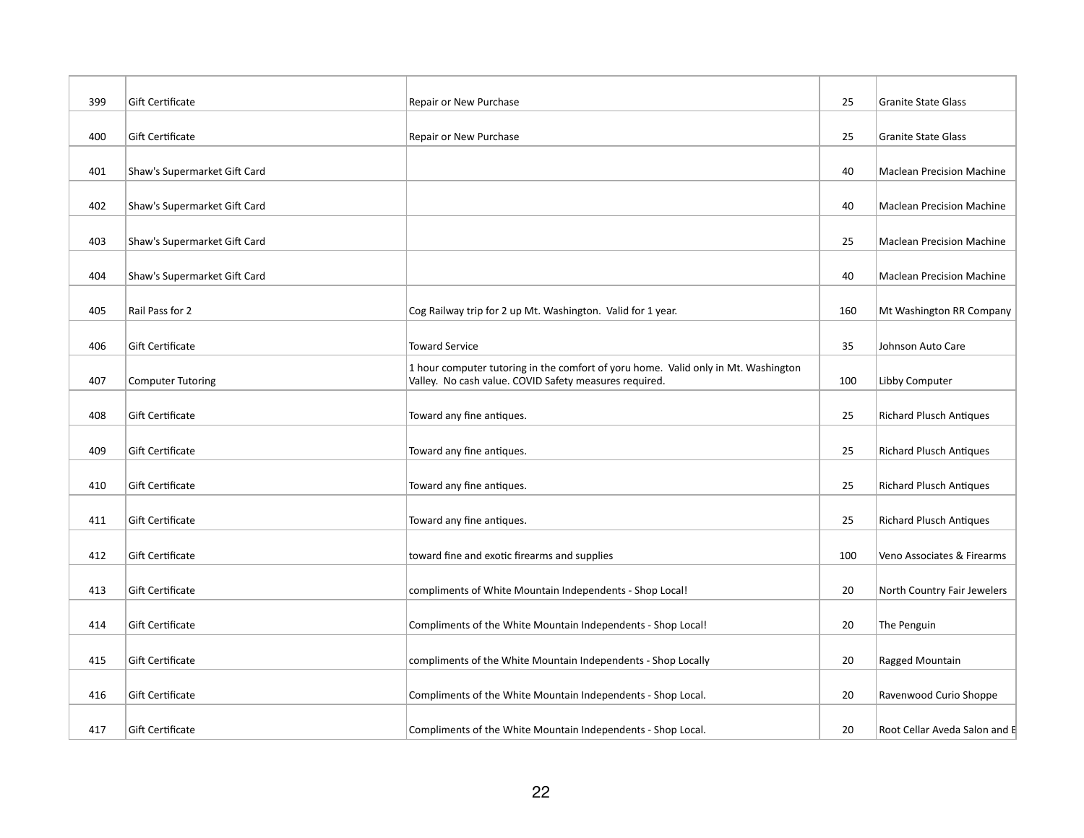| 399 | Gift Certificate             | Repair or New Purchase                                                                                                                       | 25  | <b>Granite State Glass</b>       |
|-----|------------------------------|----------------------------------------------------------------------------------------------------------------------------------------------|-----|----------------------------------|
| 400 | Gift Certificate             | Repair or New Purchase                                                                                                                       | 25  | <b>Granite State Glass</b>       |
| 401 | Shaw's Supermarket Gift Card |                                                                                                                                              | 40  | <b>Maclean Precision Machine</b> |
| 402 | Shaw's Supermarket Gift Card |                                                                                                                                              | 40  | <b>Maclean Precision Machine</b> |
| 403 | Shaw's Supermarket Gift Card |                                                                                                                                              | 25  | <b>Maclean Precision Machine</b> |
| 404 | Shaw's Supermarket Gift Card |                                                                                                                                              | 40  | <b>Maclean Precision Machine</b> |
| 405 | Rail Pass for 2              | Cog Railway trip for 2 up Mt. Washington. Valid for 1 year.                                                                                  | 160 | Mt Washington RR Company         |
| 406 | Gift Certificate             | <b>Toward Service</b>                                                                                                                        | 35  | Johnson Auto Care                |
| 407 | <b>Computer Tutoring</b>     | 1 hour computer tutoring in the comfort of yoru home. Valid only in Mt. Washington<br>Valley. No cash value. COVID Safety measures required. | 100 | Libby Computer                   |
| 408 | Gift Certificate             | Toward any fine antiques.                                                                                                                    | 25  | <b>Richard Plusch Antiques</b>   |
| 409 | Gift Certificate             | Toward any fine antiques.                                                                                                                    | 25  | <b>Richard Plusch Antiques</b>   |
| 410 | Gift Certificate             | Toward any fine antiques.                                                                                                                    | 25  | <b>Richard Plusch Antiques</b>   |
| 411 | Gift Certificate             | Toward any fine antiques.                                                                                                                    | 25  | <b>Richard Plusch Antiques</b>   |
| 412 | Gift Certificate             | toward fine and exotic firearms and supplies                                                                                                 | 100 | Veno Associates & Firearms       |
| 413 | Gift Certificate             | compliments of White Mountain Independents - Shop Local!                                                                                     | 20  | North Country Fair Jewelers      |
| 414 | Gift Certificate             | Compliments of the White Mountain Independents - Shop Local!                                                                                 | 20  | The Penguin                      |
| 415 | Gift Certificate             | compliments of the White Mountain Independents - Shop Locally                                                                                | 20  | Ragged Mountain                  |
| 416 | Gift Certificate             | Compliments of the White Mountain Independents - Shop Local.                                                                                 | 20  | Ravenwood Curio Shoppe           |
| 417 | Gift Certificate             | Compliments of the White Mountain Independents - Shop Local.                                                                                 | 20  | Root Cellar Aveda Salon and B    |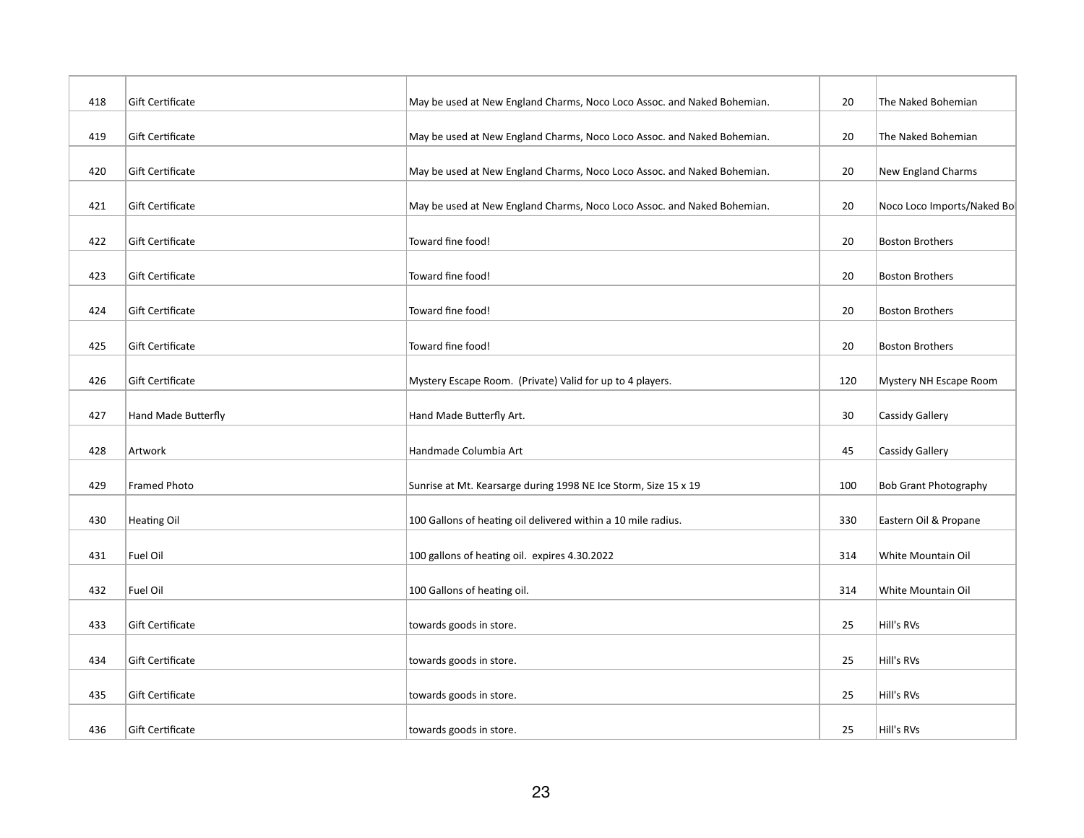| 418 | Gift Certificate    | May be used at New England Charms, Noco Loco Assoc. and Naked Bohemian. | 20  | The Naked Bohemian           |
|-----|---------------------|-------------------------------------------------------------------------|-----|------------------------------|
| 419 | Gift Certificate    | May be used at New England Charms, Noco Loco Assoc. and Naked Bohemian. | 20  | The Naked Bohemian           |
| 420 | Gift Certificate    | May be used at New England Charms, Noco Loco Assoc. and Naked Bohemian. | 20  | New England Charms           |
| 421 | Gift Certificate    | May be used at New England Charms, Noco Loco Assoc. and Naked Bohemian. | 20  | Noco Loco Imports/Naked Bol  |
| 422 | Gift Certificate    | Toward fine food!                                                       | 20  | <b>Boston Brothers</b>       |
| 423 | Gift Certificate    | Toward fine food!                                                       | 20  | <b>Boston Brothers</b>       |
| 424 | Gift Certificate    | Toward fine food!                                                       | 20  | <b>Boston Brothers</b>       |
| 425 | Gift Certificate    | Toward fine food!                                                       | 20  | <b>Boston Brothers</b>       |
| 426 | Gift Certificate    | Mystery Escape Room. (Private) Valid for up to 4 players.               | 120 | Mystery NH Escape Room       |
| 427 | Hand Made Butterfly | Hand Made Butterfly Art.                                                | 30  | Cassidy Gallery              |
| 428 | Artwork             | Handmade Columbia Art                                                   | 45  | Cassidy Gallery              |
| 429 | Framed Photo        | Sunrise at Mt. Kearsarge during 1998 NE Ice Storm, Size 15 x 19         | 100 | <b>Bob Grant Photography</b> |
| 430 | <b>Heating Oil</b>  | 100 Gallons of heating oil delivered within a 10 mile radius.           | 330 | Eastern Oil & Propane        |
| 431 | Fuel Oil            | 100 gallons of heating oil. expires 4.30.2022                           | 314 | White Mountain Oil           |
| 432 | Fuel Oil            | 100 Gallons of heating oil.                                             | 314 | White Mountain Oil           |
| 433 | Gift Certificate    | towards goods in store.                                                 | 25  | Hill's RVs                   |
| 434 | Gift Certificate    | towards goods in store.                                                 | 25  | Hill's RVs                   |
| 435 | Gift Certificate    | towards goods in store.                                                 | 25  | Hill's RVs                   |
| 436 | Gift Certificate    | towards goods in store.                                                 | 25  | Hill's RVs                   |